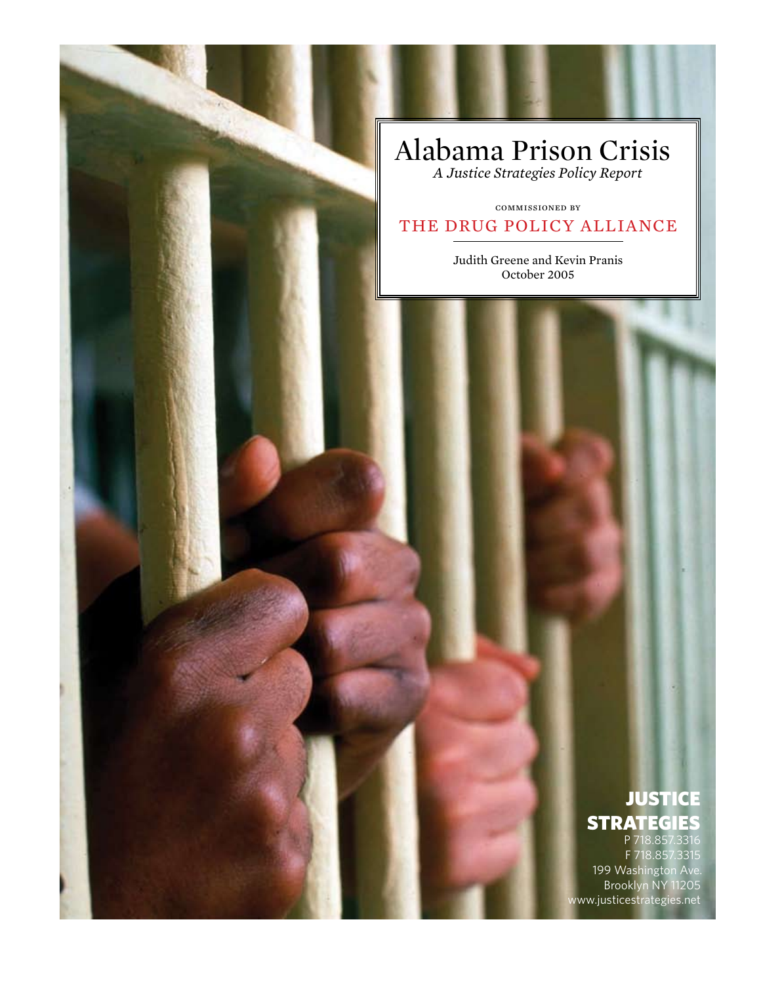# Alabama Prison Crisis

*A Justice Strategies Policy Report*

## commissioned by THE DRUG POLICY ALLIANCE

Judith Greene and Kevin Pranis October 2005

## **JUSTICE STRATEGIES**

P 718.857.3316 F 718.857.3315 199 Washington Ave. Brooklyn NY 11205 www.justicestrategies.net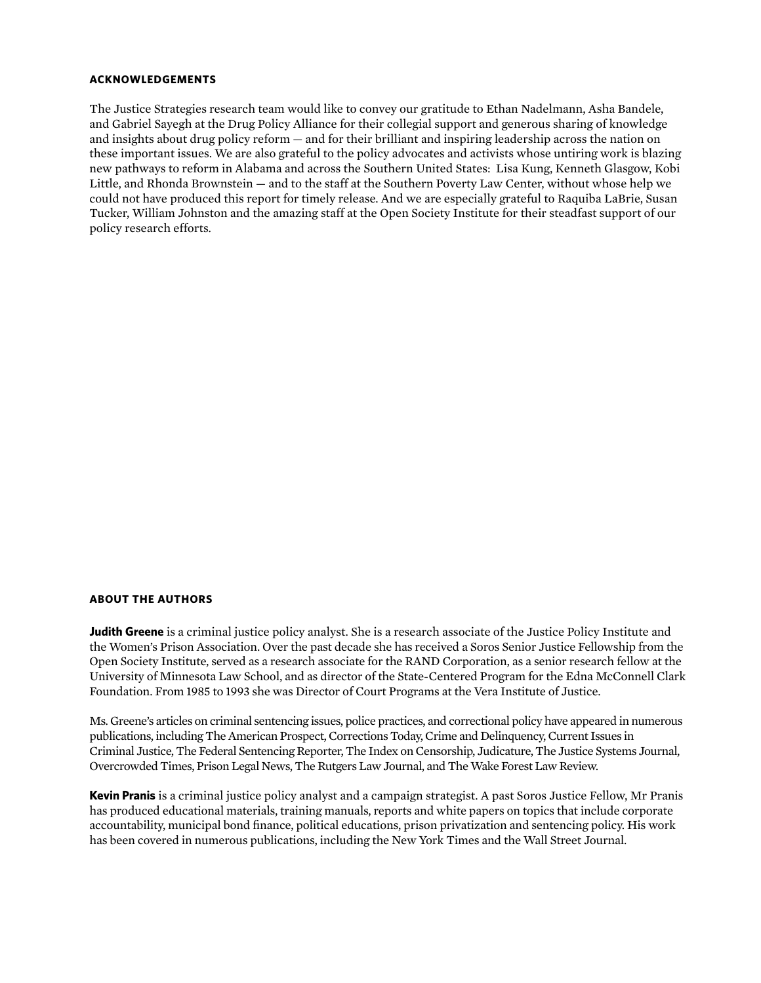#### **Acknowledgements**

The Justice Strategies research team would like to convey our gratitude to Ethan Nadelmann, Asha Bandele, and Gabriel Sayegh at the Drug Policy Alliance for their collegial support and generous sharing of knowledge and insights about drug policy reform — and for their brilliant and inspiring leadership across the nation on these important issues. We are also grateful to the policy advocates and activists whose untiring work is blazing new pathways to reform in Alabama and across the Southern United States: Lisa Kung, Kenneth Glasgow, Kobi Little, and Rhonda Brownstein — and to the staff at the Southern Poverty Law Center, without whose help we could not have produced this report for timely release. And we are especially grateful to Raquiba LaBrie, Susan Tucker, William Johnston and the amazing staff at the Open Society Institute for their steadfast support of our policy research efforts.

#### **About the authors**

**Judith Greene** is a criminal justice policy analyst. She is a research associate of the Justice Policy Institute and the Women's Prison Association. Over the past decade she has received a Soros Senior Justice Fellowship from the Open Society Institute, served as a research associate for the RAND Corporation, as a senior research fellow at the University of Minnesota Law School, and as director of the State-Centered Program for the Edna McConnell Clark Foundation. From 1985 to 1993 she was Director of Court Programs at the Vera Institute of Justice.

Ms. Greene's articles on criminal sentencing issues, police practices, and correctional policy have appeared in numerous publications, including The American Prospect, Corrections Today, Crime and Delinquency, Current Issues in Criminal Justice, The Federal Sentencing Reporter, The Index on Censorship, Judicature, The Justice Systems Journal, Overcrowded Times, Prison Legal News, The Rutgers Law Journal, and The Wake Forest Law Review.

**Kevin Pranis** is a criminal justice policy analyst and a campaign strategist. A past Soros Justice Fellow, Mr Pranis has produced educational materials, training manuals, reports and white papers on topics that include corporate accountability, municipal bond finance, political educations, prison privatization and sentencing policy. His work has been covered in numerous publications, including the New York Times and the Wall Street Journal.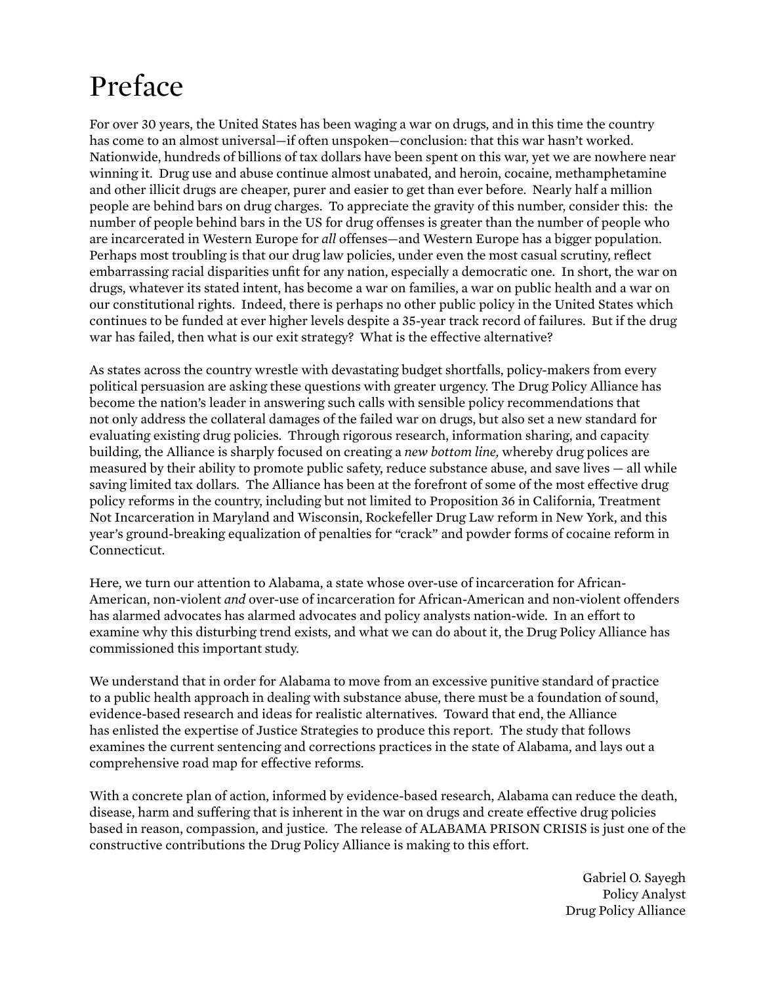# Preface

For over 30 years, the United States has been waging a war on drugs, and in this time the country has come to an almost universal—if often unspoken—conclusion: that this war hasn't worked. Nationwide, hundreds of billions of tax dollars have been spent on this war, yet we are nowhere near winning it. Drug use and abuse continue almost unabated, and heroin, cocaine, methamphetamine and other illicit drugs are cheaper, purer and easier to get than ever before. Nearly half a million people are behind bars on drug charges. To appreciate the gravity of this number, consider this: the number of people behind bars in the US for drug offenses is greater than the number of people who are incarcerated in Western Europe for *all* offenses—and Western Europe has a bigger population. Perhaps most troubling is that our drug law policies, under even the most casual scrutiny, reflect embarrassing racial disparities unfit for any nation, especially a democratic one. In short, the war on drugs, whatever its stated intent, has become a war on families, a war on public health and a war on our constitutional rights. Indeed, there is perhaps no other public policy in the United States which continues to be funded at ever higher levels despite a 35-year track record of failures. But if the drug war has failed, then what is our exit strategy? What is the effective alternative?

As states across the country wrestle with devastating budget shortfalls, policy-makers from every political persuasion are asking these questions with greater urgency. The Drug Policy Alliance has become the nation's leader in answering such calls with sensible policy recommendations that not only address the collateral damages of the failed war on drugs, but also set a new standard for evaluating existing drug policies. Through rigorous research, information sharing, and capacity building, the Alliance is sharply focused on creating a *new bottom line,* whereby drug polices are measured by their ability to promote public safety, reduce substance abuse, and save lives — all while saving limited tax dollars. The Alliance has been at the forefront of some of the most effective drug policy reforms in the country, including but not limited to Proposition 36 in California, Treatment Not Incarceration in Maryland and Wisconsin, Rockefeller Drug Law reform in New York, and this year's ground-breaking equalization of penalties for "crack" and powder forms of cocaine reform in Connecticut.

Here, we turn our attention to Alabama, a state whose over-use of incarceration for African-American, non-violent *and* over-use of incarceration for African-American and non-violent offenders has alarmed advocates has alarmed advocates and policy analysts nation-wide. In an effort to examine why this disturbing trend exists, and what we can do about it, the Drug Policy Alliance has commissioned this important study.

We understand that in order for Alabama to move from an excessive punitive standard of practice to a public health approach in dealing with substance abuse, there must be a foundation of sound, evidence-based research and ideas for realistic alternatives. Toward that end, the Alliance has enlisted the expertise of Justice Strategies to produce this report. The study that follows examines the current sentencing and corrections practices in the state of Alabama, and lays out a comprehensive road map for effective reforms.

With a concrete plan of action, informed by evidence-based research, Alabama can reduce the death, disease, harm and suffering that is inherent in the war on drugs and create effective drug policies based in reason, compassion, and justice. The release of ALABAMA PRISON CRISIS is just one of the constructive contributions the Drug Policy Alliance is making to this effort.

> Gabriel O. Sayegh Policy Analyst Drug Policy Alliance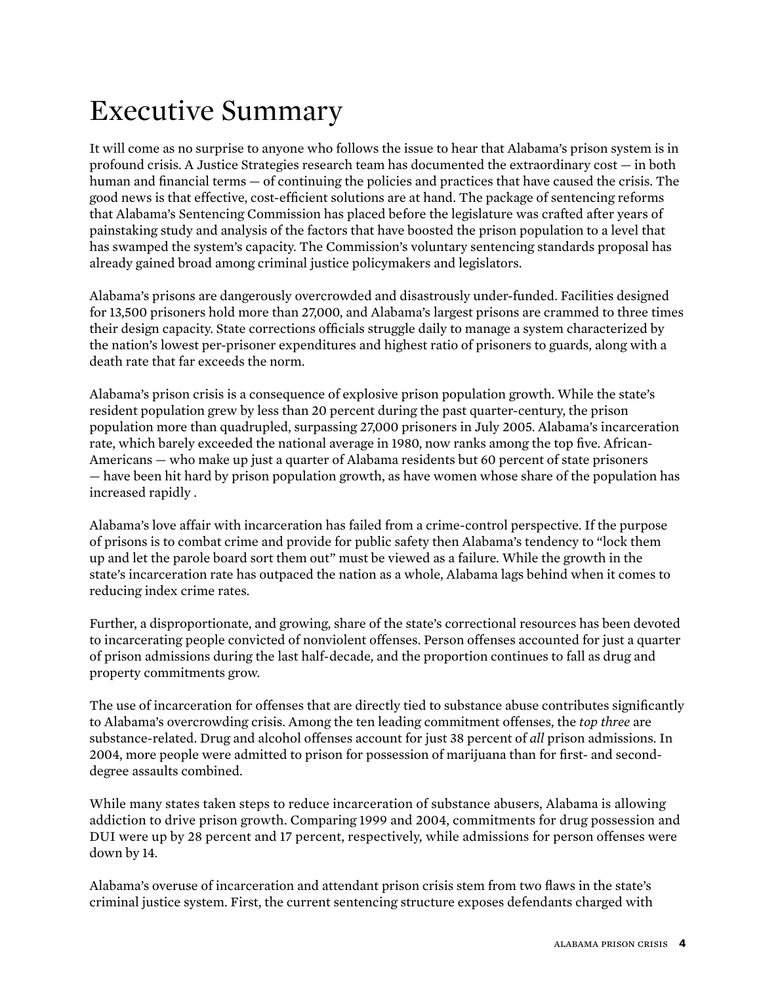# Executive Summary

It will come as no surprise to anyone who follows the issue to hear that Alabama's prison system is in profound crisis. A Justice Strategies research team has documented the extraordinary cost — in both human and financial terms — of continuing the policies and practices that have caused the crisis. The good news is that effective, cost-efficient solutions are at hand. The package of sentencing reforms that Alabama's Sentencing Commission has placed before the legislature was crafted after years of painstaking study and analysis of the factors that have boosted the prison population to a level that has swamped the system's capacity. The Commission's voluntary sentencing standards proposal has already gained broad among criminal justice policymakers and legislators.

Alabama's prisons are dangerously overcrowded and disastrously under-funded. Facilities designed for 13,500 prisoners hold more than 27,000, and Alabama's largest prisons are crammed to three times their design capacity. State corrections officials struggle daily to manage a system characterized by the nation's lowest per-prisoner expenditures and highest ratio of prisoners to guards, along with a death rate that far exceeds the norm.

Alabama's prison crisis is a consequence of explosive prison population growth. While the state's resident population grew by less than 20 percent during the past quarter-century, the prison population more than quadrupled, surpassing 27,000 prisoners in July 2005. Alabama's incarceration rate, which barely exceeded the national average in 1980, now ranks among the top five. African-Americans — who make up just a quarter of Alabama residents but 60 percent of state prisoners — have been hit hard by prison population growth, as have women whose share of the population has increased rapidly .

Alabama's love affair with incarceration has failed from a crime-control perspective. If the purpose of prisons is to combat crime and provide for public safety then Alabama's tendency to "lock them up and let the parole board sort them out" must be viewed as a failure. While the growth in the state's incarceration rate has outpaced the nation as a whole, Alabama lags behind when it comes to reducing index crime rates.

Further, a disproportionate, and growing, share of the state's correctional resources has been devoted to incarcerating people convicted of nonviolent offenses. Person offenses accounted for just a quarter of prison admissions during the last half-decade, and the proportion continues to fall as drug and property commitments grow.

The use of incarceration for offenses that are directly tied to substance abuse contributes significantly to Alabama's overcrowding crisis. Among the ten leading commitment offenses, the *top three* are substance-related. Drug and alcohol offenses account for just 38 percent of *all* prison admissions. In 2004, more people were admitted to prison for possession of marijuana than for first- and seconddegree assaults combined.

While many states taken steps to reduce incarceration of substance abusers, Alabama is allowing addiction to drive prison growth. Comparing 1999 and 2004, commitments for drug possession and DUI were up by 28 percent and 17 percent, respectively, while admissions for person offenses were down by 14.

Alabama's overuse of incarceration and attendant prison crisis stem from two flaws in the state's criminal justice system. First, the current sentencing structure exposes defendants charged with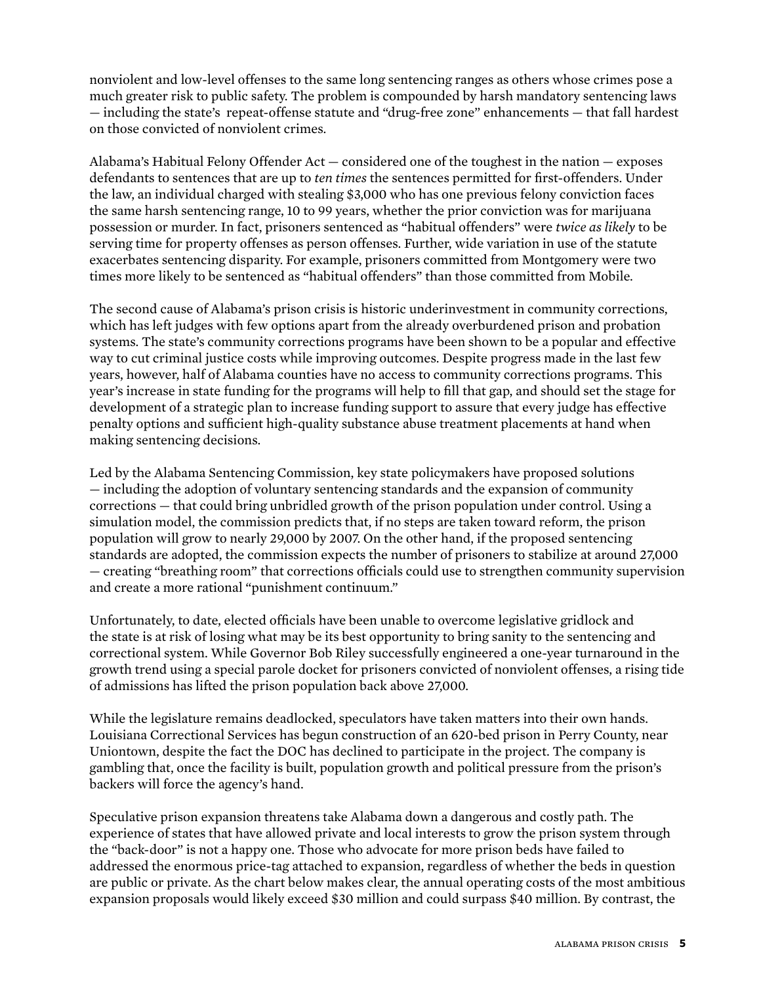nonviolent and low-level offenses to the same long sentencing ranges as others whose crimes pose a much greater risk to public safety. The problem is compounded by harsh mandatory sentencing laws — including the state's repeat-offense statute and "drug-free zone" enhancements — that fall hardest on those convicted of nonviolent crimes.

Alabama's Habitual Felony Offender Act — considered one of the toughest in the nation — exposes defendants to sentences that are up to *ten times* the sentences permitted for first-offenders. Under the law, an individual charged with stealing \$3,000 who has one previous felony conviction faces the same harsh sentencing range, 10 to 99 years, whether the prior conviction was for marijuana possession or murder. In fact, prisoners sentenced as "habitual offenders" were *twice as likely* to be serving time for property offenses as person offenses. Further, wide variation in use of the statute exacerbates sentencing disparity. For example, prisoners committed from Montgomery were two times more likely to be sentenced as "habitual offenders" than those committed from Mobile.

The second cause of Alabama's prison crisis is historic underinvestment in community corrections, which has left judges with few options apart from the already overburdened prison and probation systems. The state's community corrections programs have been shown to be a popular and effective way to cut criminal justice costs while improving outcomes. Despite progress made in the last few years, however, half of Alabama counties have no access to community corrections programs. This year's increase in state funding for the programs will help to fill that gap, and should set the stage for development of a strategic plan to increase funding support to assure that every judge has effective penalty options and sufficient high-quality substance abuse treatment placements at hand when making sentencing decisions.

Led by the Alabama Sentencing Commission, key state policymakers have proposed solutions — including the adoption of voluntary sentencing standards and the expansion of community corrections — that could bring unbridled growth of the prison population under control. Using a simulation model, the commission predicts that, if no steps are taken toward reform, the prison population will grow to nearly 29,000 by 2007. On the other hand, if the proposed sentencing standards are adopted, the commission expects the number of prisoners to stabilize at around 27,000 — creating "breathing room" that corrections officials could use to strengthen community supervision and create a more rational "punishment continuum."

Unfortunately, to date, elected officials have been unable to overcome legislative gridlock and the state is at risk of losing what may be its best opportunity to bring sanity to the sentencing and correctional system. While Governor Bob Riley successfully engineered a one-year turnaround in the growth trend using a special parole docket for prisoners convicted of nonviolent offenses, a rising tide of admissions has lifted the prison population back above 27,000.

While the legislature remains deadlocked, speculators have taken matters into their own hands. Louisiana Correctional Services has begun construction of an 620-bed prison in Perry County, near Uniontown, despite the fact the DOC has declined to participate in the project. The company is gambling that, once the facility is built, population growth and political pressure from the prison's backers will force the agency's hand.

Speculative prison expansion threatens take Alabama down a dangerous and costly path. The experience of states that have allowed private and local interests to grow the prison system through the "back-door" is not a happy one. Those who advocate for more prison beds have failed to addressed the enormous price-tag attached to expansion, regardless of whether the beds in question are public or private. As the chart below makes clear, the annual operating costs of the most ambitious expansion proposals would likely exceed \$30 million and could surpass \$40 million. By contrast, the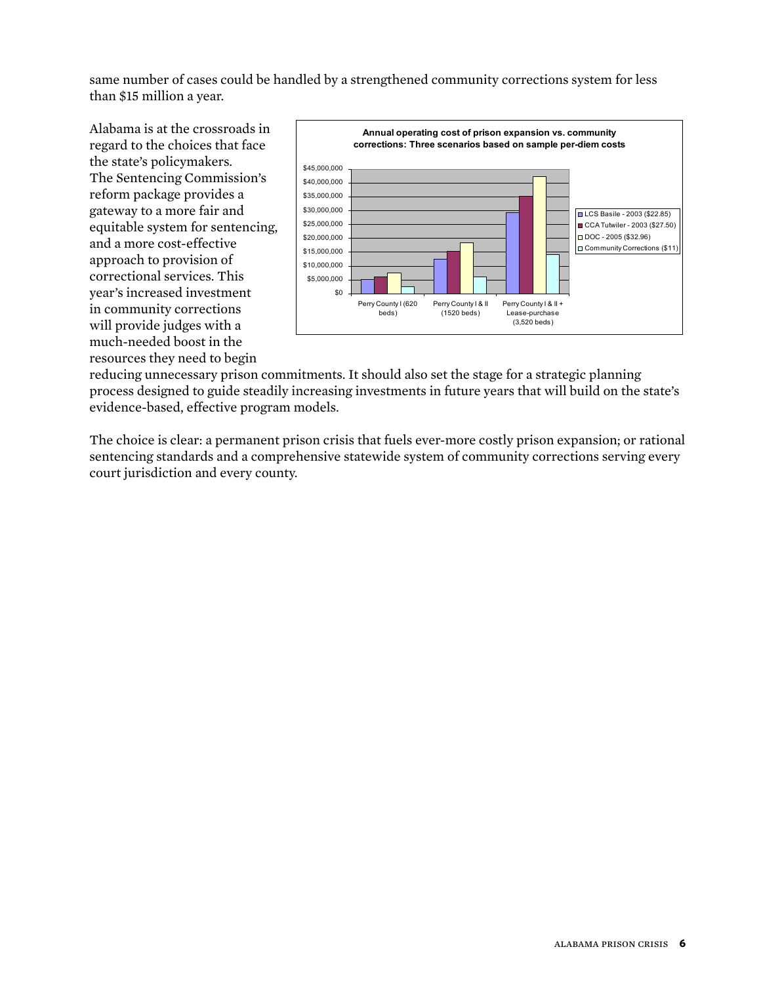same number of cases could be handled by a strengthened community corrections system for less than \$15 million a year.

Alabama is at the crossroads in regard to the choices that face the state's policymakers. The Sentencing Commission's reform package provides a gateway to a more fair and equitable system for sentencing, and a more cost-effective approach to provision of correctional services. This year's increased investment in community corrections will provide judges with a much-needed boost in the resources they need to begin



reducing unnecessary prison commitments. It should also set the stage for a strategic planning process designed to guide steadily increasing investments in future years that will build on the state's evidence-based, effective program models.

The choice is clear: a permanent prison crisis that fuels ever-more costly prison expansion; or rational sentencing standards and a comprehensive statewide system of community corrections serving every court jurisdiction and every county.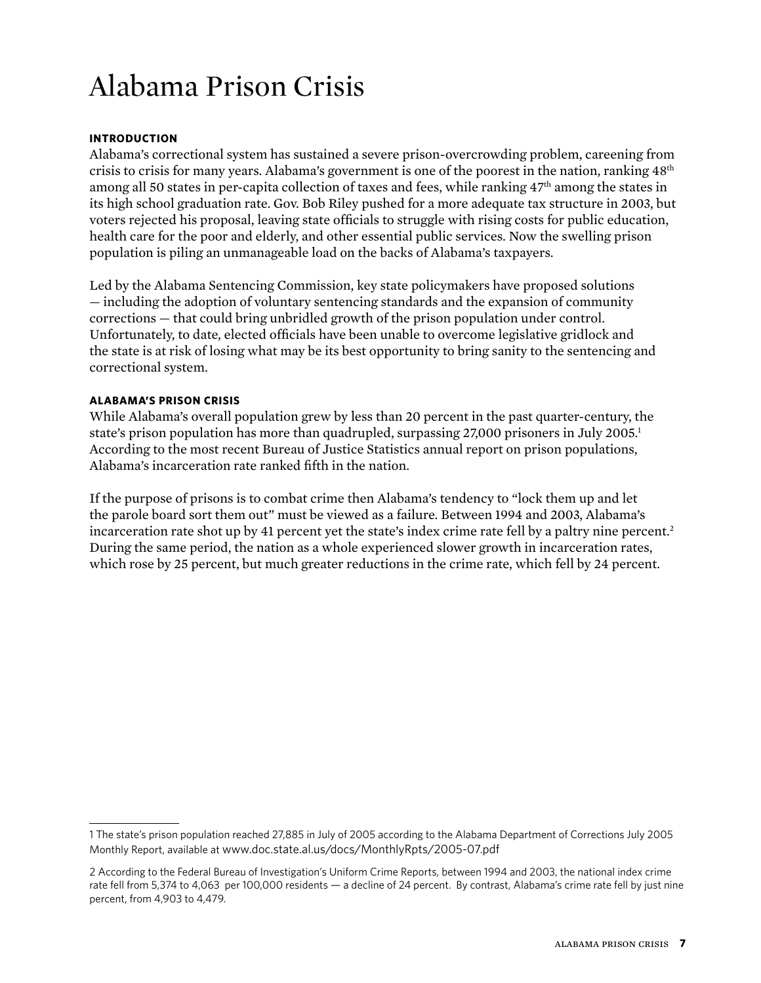# Alabama Prison Crisis

### **Introduction**

Alabama's correctional system has sustained a severe prison-overcrowding problem, careening from crisis to crisis for many years. Alabama's government is one of the poorest in the nation, ranking 48<sup>th</sup> among all 50 states in per-capita collection of taxes and fees, while ranking 47<sup>th</sup> among the states in its high school graduation rate. Gov. Bob Riley pushed for a more adequate tax structure in 2003, but voters rejected his proposal, leaving state officials to struggle with rising costs for public education, health care for the poor and elderly, and other essential public services. Now the swelling prison population is piling an unmanageable load on the backs of Alabama's taxpayers.

Led by the Alabama Sentencing Commission, key state policymakers have proposed solutions — including the adoption of voluntary sentencing standards and the expansion of community corrections — that could bring unbridled growth of the prison population under control. Unfortunately, to date, elected officials have been unable to overcome legislative gridlock and the state is at risk of losing what may be its best opportunity to bring sanity to the sentencing and correctional system.

#### **ALABAMA'S PRISON CRISIS**

While Alabama's overall population grew by less than 20 percent in the past quarter-century, the state's prison population has more than quadrupled, surpassing 27,000 prisoners in July 2005. According to the most recent Bureau of Justice Statistics annual report on prison populations, Alabama's incarceration rate ranked fifth in the nation.

If the purpose of prisons is to combat crime then Alabama's tendency to "lock them up and let the parole board sort them out" must be viewed as a failure. Between 1994 and 2003, Alabama's incarceration rate shot up by 41 percent yet the state's index crime rate fell by a paltry nine percent. During the same period, the nation as a whole experienced slower growth in incarceration rates, which rose by 25 percent, but much greater reductions in the crime rate, which fell by 24 percent.

The state's prison population reached 27,885 in July of 2005 according to the Alabama Department of Corrections July 2005 Monthly Report, available at www.doc.state.al.us/docs/MonthlyRpts/2005-07.pdf

According to the Federal Bureau of Investigation's Uniform Crime Reports, between 1994 and 2003, the national index crime rate fell from 5,374 to 4,063 per 100,000 residents — a decline of 24 percent. By contrast, Alabama's crime rate fell by just nine percent, from 4,903 to 4,479.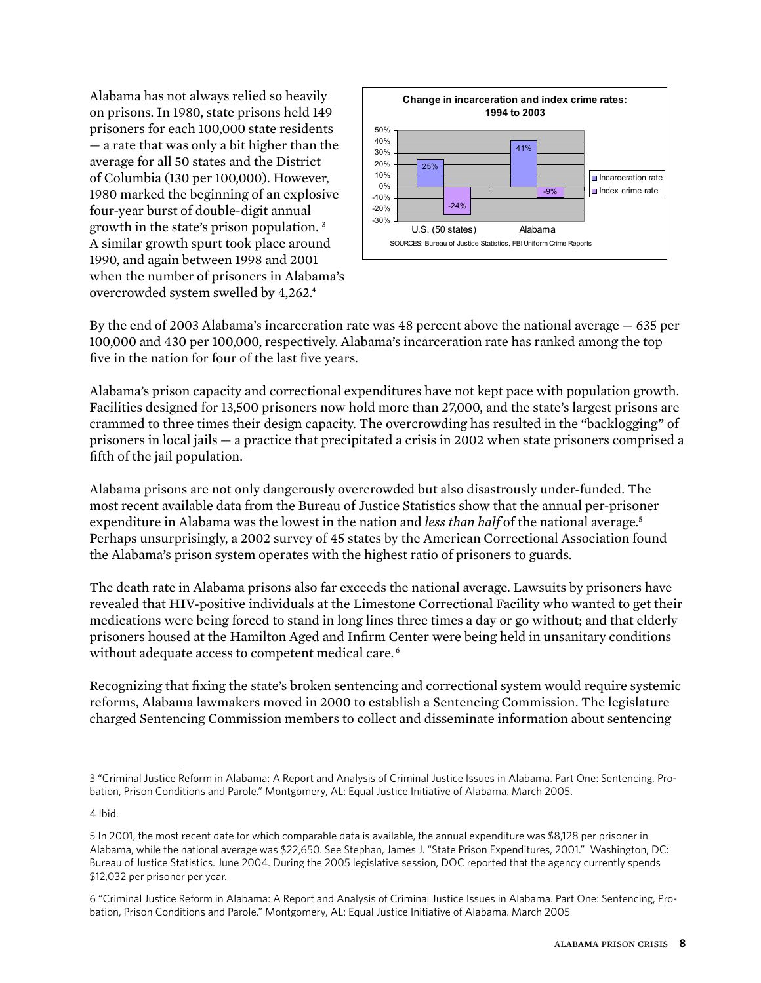Alabama has not always relied so heavily on prisons. In 1980, state prisons held 149 prisoners for each 100,000 state residents — a rate that was only a bit higher than the average for all 50 states and the District of Columbia (130 per 100,000). However, 1980 marked the beginning of an explosive four-year burst of double-digit annual growth in the state's prison population. A similar growth spurt took place around 1990, and again between 1998 and 2001 when the number of prisoners in Alabama's overcrowded system swelled by 4,262.



By the end of 2003 Alabama's incarceration rate was 48 percent above the national average — 635 per 100,000 and 430 per 100,000, respectively. Alabama's incarceration rate has ranked among the top five in the nation for four of the last five years.

Alabama's prison capacity and correctional expenditures have not kept pace with population growth. Facilities designed for 13,500 prisoners now hold more than 27,000, and the state's largest prisons are crammed to three times their design capacity. The overcrowding has resulted in the "backlogging" of prisoners in local jails — a practice that precipitated a crisis in 2002 when state prisoners comprised a fifth of the jail population.

Alabama prisons are not only dangerously overcrowded but also disastrously under-funded. The most recent available data from the Bureau of Justice Statistics show that the annual per-prisoner expenditure in Alabama was the lowest in the nation and *less than half* of the national average. Perhaps unsurprisingly, a 2002 survey of 45 states by the American Correctional Association found the Alabama's prison system operates with the highest ratio of prisoners to guards.

The death rate in Alabama prisons also far exceeds the national average. Lawsuits by prisoners have revealed that HIV-positive individuals at the Limestone Correctional Facility who wanted to get their medications were being forced to stand in long lines three times a day or go without; and that elderly prisoners housed at the Hamilton Aged and Infirm Center were being held in unsanitary conditions without adequate access to competent medical care.<sup>6</sup>

Recognizing that fixing the state's broken sentencing and correctional system would require systemic reforms, Alabama lawmakers moved in 2000 to establish a Sentencing Commission. The legislature charged Sentencing Commission members to collect and disseminate information about sentencing

4 Ibid.

 <sup>&</sup>quot;Criminal Justice Reform in Alabama: A Report and Analysis of Criminal Justice Issues in Alabama. Part One: Sentencing, Probation, Prison Conditions and Parole." Montgomery, AL: Equal Justice Initiative of Alabama. March 2005.

In 2001, the most recent date for which comparable data is available, the annual expenditure was \$8,128 per prisoner in Alabama, while the national average was \$22,650. See Stephan, James J. "State Prison Expenditures, 2001." Washington, DC: Bureau of Justice Statistics. June 2004. During the 2005 legislative session, DOC reported that the agency currently spends \$12,032 per prisoner per year.

 <sup>&</sup>quot;Criminal Justice Reform in Alabama: A Report and Analysis of Criminal Justice Issues in Alabama. Part One: Sentencing, Probation, Prison Conditions and Parole." Montgomery, AL: Equal Justice Initiative of Alabama. March 2005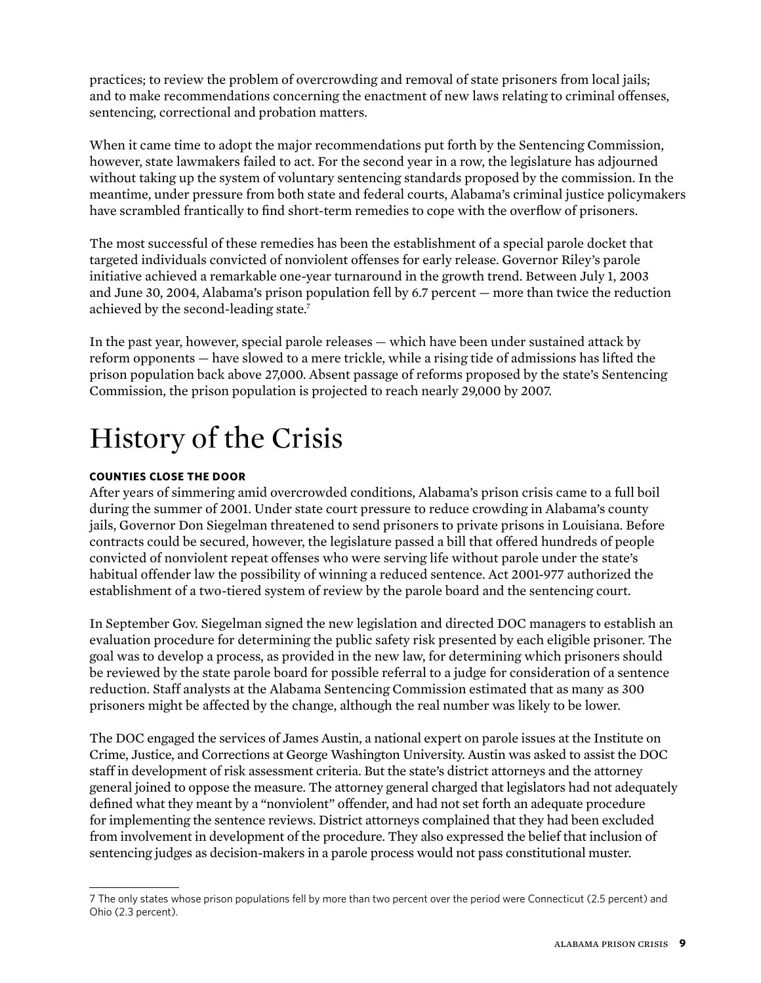practices; to review the problem of overcrowding and removal of state prisoners from local jails; and to make recommendations concerning the enactment of new laws relating to criminal offenses, sentencing, correctional and probation matters.

When it came time to adopt the major recommendations put forth by the Sentencing Commission, however, state lawmakers failed to act. For the second year in a row, the legislature has adjourned without taking up the system of voluntary sentencing standards proposed by the commission. In the meantime, under pressure from both state and federal courts, Alabama's criminal justice policymakers have scrambled frantically to find short-term remedies to cope with the overflow of prisoners.

The most successful of these remedies has been the establishment of a special parole docket that targeted individuals convicted of nonviolent offenses for early release. Governor Riley's parole initiative achieved a remarkable one-year turnaround in the growth trend. Between July 1, 2003 and June 30, 2004, Alabama's prison population fell by 6.7 percent — more than twice the reduction achieved by the second-leading state.

In the past year, however, special parole releases — which have been under sustained attack by reform opponents — have slowed to a mere trickle, while a rising tide of admissions has lifted the prison population back above 27,000. Absent passage of reforms proposed by the state's Sentencing Commission, the prison population is projected to reach nearly 29,000 by 2007.

# History of the Crisis

### **Counties close the door**

After years of simmering amid overcrowded conditions, Alabama's prison crisis came to a full boil during the summer of 2001. Under state court pressure to reduce crowding in Alabama's county jails, Governor Don Siegelman threatened to send prisoners to private prisons in Louisiana. Before contracts could be secured, however, the legislature passed a bill that offered hundreds of people convicted of nonviolent repeat offenses who were serving life without parole under the state's habitual offender law the possibility of winning a reduced sentence. Act 2001-977 authorized the establishment of a two-tiered system of review by the parole board and the sentencing court.

In September Gov. Siegelman signed the new legislation and directed DOC managers to establish an evaluation procedure for determining the public safety risk presented by each eligible prisoner. The goal was to develop a process, as provided in the new law, for determining which prisoners should be reviewed by the state parole board for possible referral to a judge for consideration of a sentence reduction. Staff analysts at the Alabama Sentencing Commission estimated that as many as 300 prisoners might be affected by the change, although the real number was likely to be lower.

The DOC engaged the services of James Austin, a national expert on parole issues at the Institute on Crime, Justice, and Corrections at George Washington University. Austin was asked to assist the DOC staff in development of risk assessment criteria. But the state's district attorneys and the attorney general joined to oppose the measure. The attorney general charged that legislators had not adequately defined what they meant by a "nonviolent" offender, and had not set forth an adequate procedure for implementing the sentence reviews. District attorneys complained that they had been excluded from involvement in development of the procedure. They also expressed the belief that inclusion of sentencing judges as decision-makers in a parole process would not pass constitutional muster.

The only states whose prison populations fell by more than two percent over the period were Connecticut (2.5 percent) and Ohio (2.3 percent).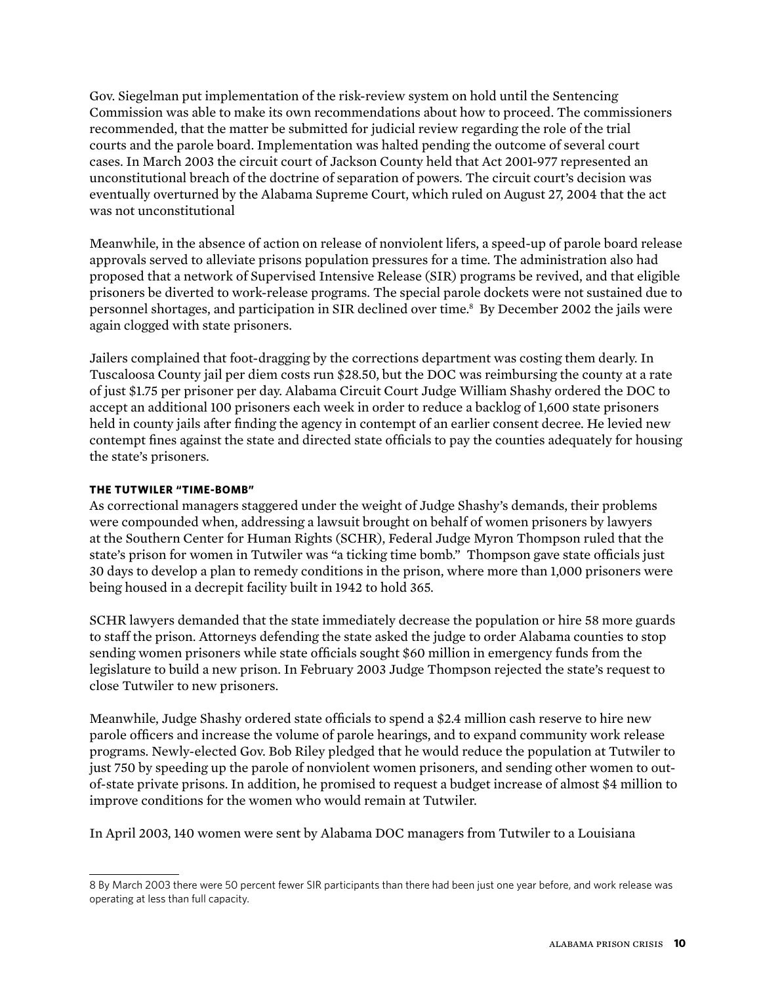Gov. Siegelman put implementation of the risk-review system on hold until the Sentencing Commission was able to make its own recommendations about how to proceed. The commissioners recommended, that the matter be submitted for judicial review regarding the role of the trial courts and the parole board. Implementation was halted pending the outcome of several court cases. In March 2003 the circuit court of Jackson County held that Act 2001-977 represented an unconstitutional breach of the doctrine of separation of powers. The circuit court's decision was eventually overturned by the Alabama Supreme Court, which ruled on August 27, 2004 that the act was not unconstitutional

Meanwhile, in the absence of action on release of nonviolent lifers, a speed-up of parole board release approvals served to alleviate prisons population pressures for a time. The administration also had proposed that a network of Supervised Intensive Release (SIR) programs be revived, and that eligible prisoners be diverted to work-release programs. The special parole dockets were not sustained due to personnel shortages, and participation in SIR declined over time. By December 2002 the jails were again clogged with state prisoners.

Jailers complained that foot-dragging by the corrections department was costing them dearly. In Tuscaloosa County jail per diem costs run \$28.50, but the DOC was reimbursing the county at a rate of just \$1.75 per prisoner per day. Alabama Circuit Court Judge William Shashy ordered the DOC to accept an additional 100 prisoners each week in order to reduce a backlog of 1,600 state prisoners held in county jails after finding the agency in contempt of an earlier consent decree. He levied new contempt fines against the state and directed state officials to pay the counties adequately for housing the state's prisoners.

### **The Tutwiler "time-bomb"**

As correctional managers staggered under the weight of Judge Shashy's demands, their problems were compounded when, addressing a lawsuit brought on behalf of women prisoners by lawyers at the Southern Center for Human Rights (SCHR), Federal Judge Myron Thompson ruled that the state's prison for women in Tutwiler was "a ticking time bomb." Thompson gave state officials just 30 days to develop a plan to remedy conditions in the prison, where more than 1,000 prisoners were being housed in a decrepit facility built in 1942 to hold 365.

SCHR lawyers demanded that the state immediately decrease the population or hire 58 more guards to staff the prison. Attorneys defending the state asked the judge to order Alabama counties to stop sending women prisoners while state officials sought \$60 million in emergency funds from the legislature to build a new prison. In February 2003 Judge Thompson rejected the state's request to close Tutwiler to new prisoners.

Meanwhile, Judge Shashy ordered state officials to spend a \$2.4 million cash reserve to hire new parole officers and increase the volume of parole hearings, and to expand community work release programs. Newly-elected Gov. Bob Riley pledged that he would reduce the population at Tutwiler to just 750 by speeding up the parole of nonviolent women prisoners, and sending other women to outof-state private prisons. In addition, he promised to request a budget increase of almost \$4 million to improve conditions for the women who would remain at Tutwiler.

In April 2003, 140 women were sent by Alabama DOC managers from Tutwiler to a Louisiana

By March 2003 there were 50 percent fewer SIR participants than there had been just one year before, and work release was operating at less than full capacity.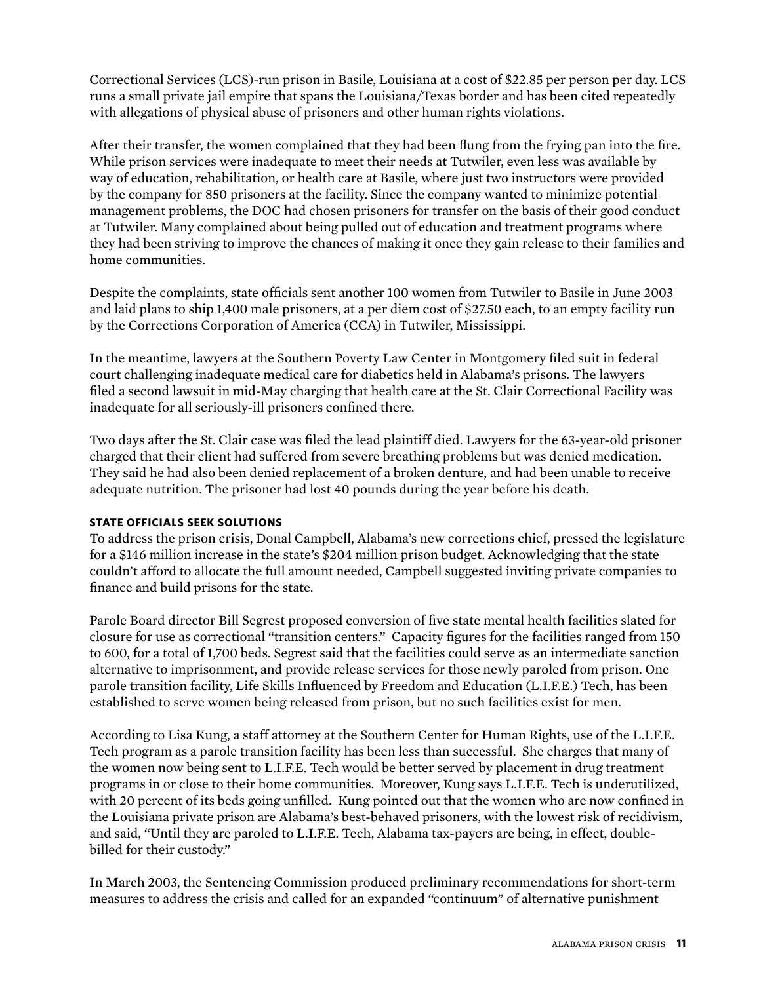Correctional Services (LCS)-run prison in Basile, Louisiana at a cost of \$22.85 per person per day. LCS runs a small private jail empire that spans the Louisiana/Texas border and has been cited repeatedly with allegations of physical abuse of prisoners and other human rights violations.

After their transfer, the women complained that they had been flung from the frying pan into the fire. While prison services were inadequate to meet their needs at Tutwiler, even less was available by way of education, rehabilitation, or health care at Basile, where just two instructors were provided by the company for 850 prisoners at the facility. Since the company wanted to minimize potential management problems, the DOC had chosen prisoners for transfer on the basis of their good conduct at Tutwiler. Many complained about being pulled out of education and treatment programs where they had been striving to improve the chances of making it once they gain release to their families and home communities.

Despite the complaints, state officials sent another 100 women from Tutwiler to Basile in June 2003 and laid plans to ship 1,400 male prisoners, at a per diem cost of \$27.50 each, to an empty facility run by the Corrections Corporation of America (CCA) in Tutwiler, Mississippi.

In the meantime, lawyers at the Southern Poverty Law Center in Montgomery filed suit in federal court challenging inadequate medical care for diabetics held in Alabama's prisons. The lawyers filed a second lawsuit in mid-May charging that health care at the St. Clair Correctional Facility was inadequate for all seriously-ill prisoners confined there.

Two days after the St. Clair case was filed the lead plaintiff died. Lawyers for the 63-year-old prisoner charged that their client had suffered from severe breathing problems but was denied medication. They said he had also been denied replacement of a broken denture, and had been unable to receive adequate nutrition. The prisoner had lost 40 pounds during the year before his death.

#### **State officials seek solutions**

To address the prison crisis, Donal Campbell, Alabama's new corrections chief, pressed the legislature for a \$146 million increase in the state's \$204 million prison budget. Acknowledging that the state couldn't afford to allocate the full amount needed, Campbell suggested inviting private companies to finance and build prisons for the state.

Parole Board director Bill Segrest proposed conversion of five state mental health facilities slated for closure for use as correctional "transition centers." Capacity figures for the facilities ranged from 150 to 600, for a total of 1,700 beds. Segrest said that the facilities could serve as an intermediate sanction alternative to imprisonment, and provide release services for those newly paroled from prison. One parole transition facility, Life Skills Influenced by Freedom and Education (L.I.F.E.) Tech, has been established to serve women being released from prison, but no such facilities exist for men.

According to Lisa Kung, a staff attorney at the Southern Center for Human Rights, use of the L.I.F.E. Tech program as a parole transition facility has been less than successful. She charges that many of the women now being sent to L.I.F.E. Tech would be better served by placement in drug treatment programs in or close to their home communities. Moreover, Kung says L.I.F.E. Tech is underutilized, with 20 percent of its beds going unfilled. Kung pointed out that the women who are now confined in the Louisiana private prison are Alabama's best-behaved prisoners, with the lowest risk of recidivism, and said, "Until they are paroled to L.I.F.E. Tech, Alabama tax-payers are being, in effect, doublebilled for their custody."

In March 2003, the Sentencing Commission produced preliminary recommendations for short-term measures to address the crisis and called for an expanded "continuum" of alternative punishment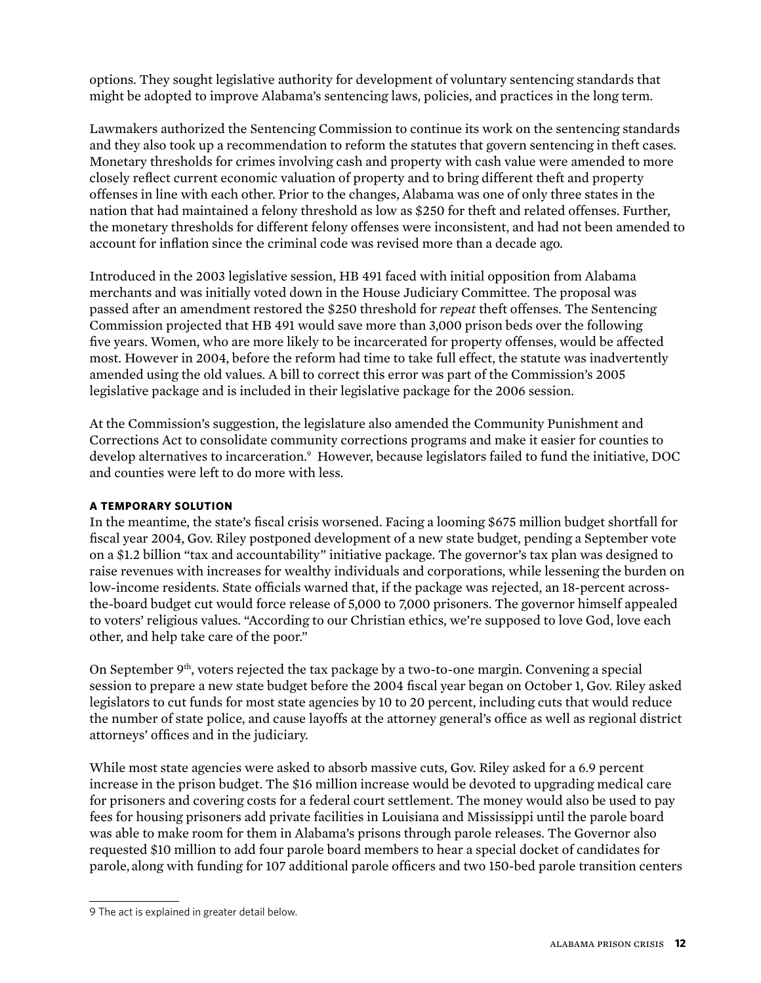options. They sought legislative authority for development of voluntary sentencing standards that might be adopted to improve Alabama's sentencing laws, policies, and practices in the long term.

Lawmakers authorized the Sentencing Commission to continue its work on the sentencing standards and they also took up a recommendation to reform the statutes that govern sentencing in theft cases. Monetary thresholds for crimes involving cash and property with cash value were amended to more closely reflect current economic valuation of property and to bring different theft and property offenses in line with each other. Prior to the changes, Alabama was one of only three states in the nation that had maintained a felony threshold as low as \$250 for theft and related offenses. Further, the monetary thresholds for different felony offenses were inconsistent, and had not been amended to account for inflation since the criminal code was revised more than a decade ago.

Introduced in the 2003 legislative session, HB 491 faced with initial opposition from Alabama merchants and was initially voted down in the House Judiciary Committee. The proposal was passed after an amendment restored the \$250 threshold for *repeat* theft offenses. The Sentencing Commission projected that HB 491 would save more than 3,000 prison beds over the following five years. Women, who are more likely to be incarcerated for property offenses, would be affected most. However in 2004, before the reform had time to take full effect, the statute was inadvertently amended using the old values. A bill to correct this error was part of the Commission's 2005 legislative package and is included in their legislative package for the 2006 session.

At the Commission's suggestion, the legislature also amended the Community Punishment and Corrections Act to consolidate community corrections programs and make it easier for counties to develop alternatives to incarceration.<sup>9</sup> However, because legislators failed to fund the initiative, DOC and counties were left to do more with less.

### **A temporary solution**

In the meantime, the state's fiscal crisis worsened. Facing a looming \$675 million budget shortfall for fiscal year 2004, Gov. Riley postponed development of a new state budget, pending a September vote on a \$1.2 billion "tax and accountability" initiative package. The governor's tax plan was designed to raise revenues with increases for wealthy individuals and corporations, while lessening the burden on low-income residents. State officials warned that, if the package was rejected, an 18-percent acrossthe-board budget cut would force release of 5,000 to 7,000 prisoners. The governor himself appealed to voters' religious values. "According to our Christian ethics, we're supposed to love God, love each other, and help take care of the poor."

On September 9<sup>th</sup>, voters rejected the tax package by a two-to-one margin. Convening a special session to prepare a new state budget before the 2004 fiscal year began on October 1, Gov. Riley asked legislators to cut funds for most state agencies by 10 to 20 percent, including cuts that would reduce the number of state police, and cause layoffs at the attorney general's office as well as regional district attorneys' offices and in the judiciary.

While most state agencies were asked to absorb massive cuts, Gov. Riley asked for a 6.9 percent increase in the prison budget. The \$16 million increase would be devoted to upgrading medical care for prisoners and covering costs for a federal court settlement. The money would also be used to pay fees for housing prisoners add private facilities in Louisiana and Mississippi until the parole board was able to make room for them in Alabama's prisons through parole releases. The Governor also requested \$10 million to add four parole board members to hear a special docket of candidates for parole, along with funding for 107 additional parole officers and two 150-bed parole transition centers

<sup>9</sup> The act is explained in greater detail below.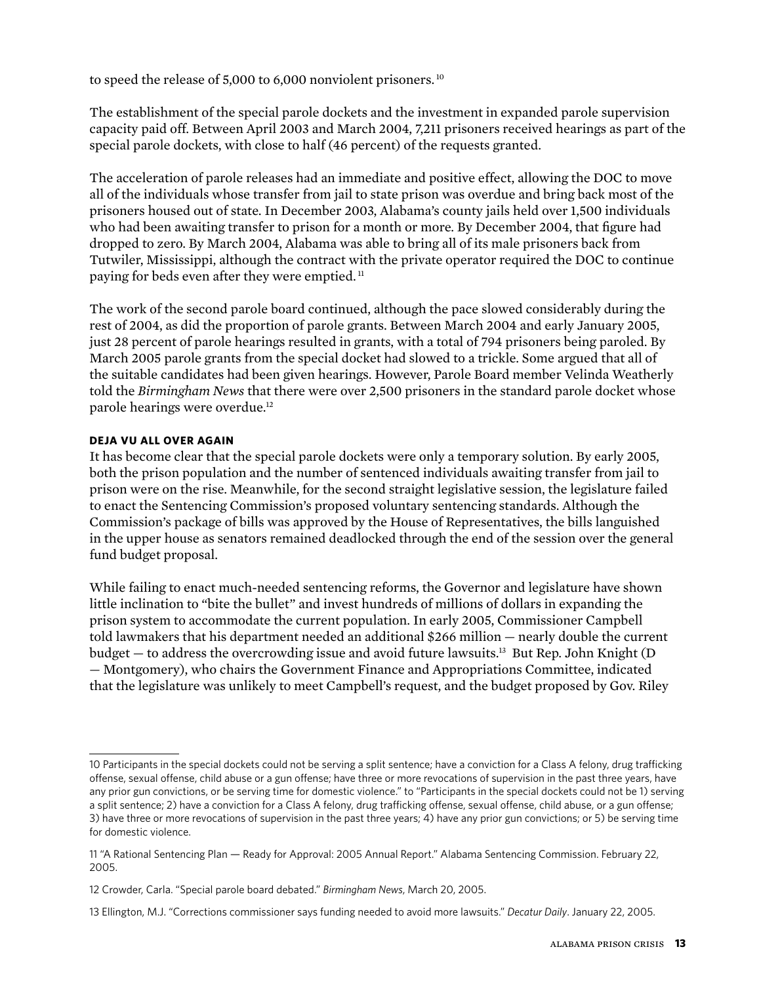to speed the release of 5,000 to 6,000 nonviolent prisoners.<sup>10</sup>

The establishment of the special parole dockets and the investment in expanded parole supervision capacity paid off. Between April 2003 and March 2004, 7,211 prisoners received hearings as part of the special parole dockets, with close to half (46 percent) of the requests granted.

The acceleration of parole releases had an immediate and positive effect, allowing the DOC to move all of the individuals whose transfer from jail to state prison was overdue and bring back most of the prisoners housed out of state. In December 2003, Alabama's county jails held over 1,500 individuals who had been awaiting transfer to prison for a month or more. By December 2004, that figure had dropped to zero. By March 2004, Alabama was able to bring all of its male prisoners back from Tutwiler, Mississippi, although the contract with the private operator required the DOC to continue paying for beds even after they were emptied.<sup>11</sup>

The work of the second parole board continued, although the pace slowed considerably during the rest of 2004, as did the proportion of parole grants. Between March 2004 and early January 2005, just 28 percent of parole hearings resulted in grants, with a total of 794 prisoners being paroled. By March 2005 parole grants from the special docket had slowed to a trickle. Some argued that all of the suitable candidates had been given hearings. However, Parole Board member Velinda Weatherly told the *Birmingham News* that there were over 2,500 prisoners in the standard parole docket whose parole hearings were overdue.12

#### **Deja vu all over again**

It has become clear that the special parole dockets were only a temporary solution. By early 2005, both the prison population and the number of sentenced individuals awaiting transfer from jail to prison were on the rise. Meanwhile, for the second straight legislative session, the legislature failed to enact the Sentencing Commission's proposed voluntary sentencing standards. Although the Commission's package of bills was approved by the House of Representatives, the bills languished in the upper house as senators remained deadlocked through the end of the session over the general fund budget proposal.

While failing to enact much-needed sentencing reforms, the Governor and legislature have shown little inclination to "bite the bullet" and invest hundreds of millions of dollars in expanding the prison system to accommodate the current population. In early 2005, Commissioner Campbell told lawmakers that his department needed an additional \$266 million — nearly double the current budget  $-$  to address the overcrowding issue and avoid future lawsuits.<sup>13</sup> But Rep. John Knight (D) — Montgomery), who chairs the Government Finance and Appropriations Committee, indicated that the legislature was unlikely to meet Campbell's request, and the budget proposed by Gov. Riley

<sup>10</sup> Participants in the special dockets could not be serving a split sentence; have a conviction for a Class A felony, drug trafficking offense, sexual offense, child abuse or a gun offense; have three or more revocations of supervision in the past three years, have any prior gun convictions, or be serving time for domestic violence." to "Participants in the special dockets could not be 1) serving a split sentence; 2) have a conviction for a Class A felony, drug trafficking offense, sexual offense, child abuse, or a gun offense; 3) have three or more revocations of supervision in the past three years; 4) have any prior gun convictions; or 5) be serving time for domestic violence.

<sup>11 &</sup>quot;A Rational Sentencing Plan — Ready for Approval: 2005 Annual Report." Alabama Sentencing Commission. February 22, 2005.

<sup>12</sup> Crowder, Carla. "Special parole board debated." *Birmingham News*, March 20, 2005.

<sup>13</sup> Ellington, M.J. "Corrections commissioner says funding needed to avoid more lawsuits." *Decatur Daily*. January 22, 2005.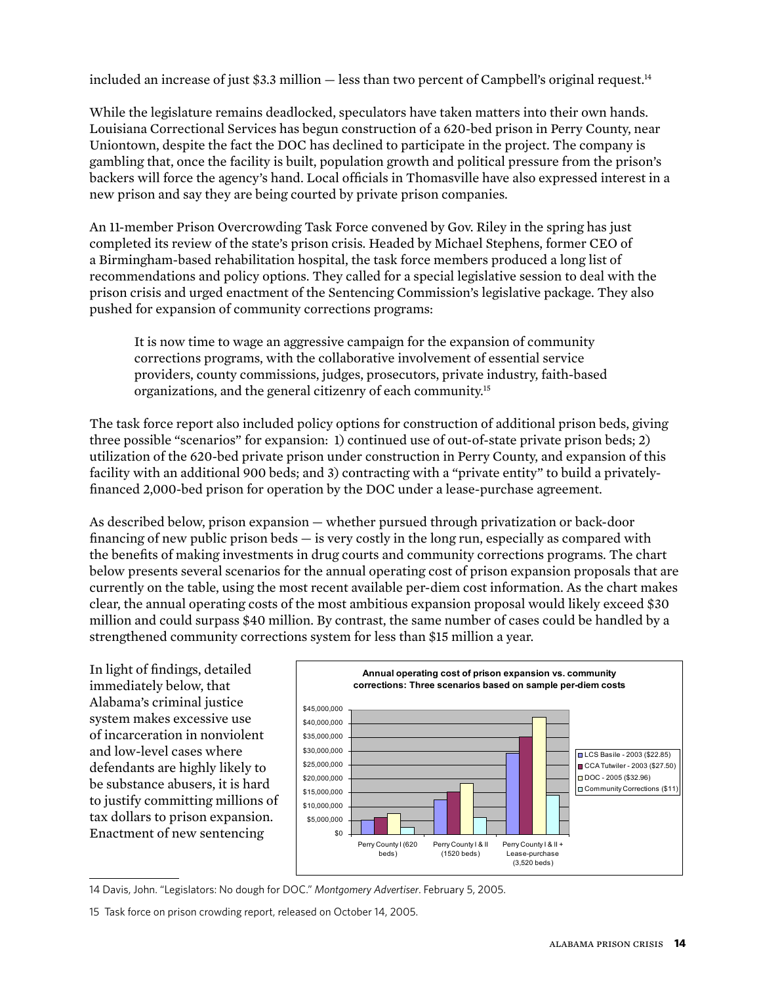included an increase of just \$3.3 million - less than two percent of Campbell's original request.<sup>14</sup>

While the legislature remains deadlocked, speculators have taken matters into their own hands. Louisiana Correctional Services has begun construction of a 620-bed prison in Perry County, near Uniontown, despite the fact the DOC has declined to participate in the project. The company is gambling that, once the facility is built, population growth and political pressure from the prison's backers will force the agency's hand. Local officials in Thomasville have also expressed interest in a new prison and say they are being courted by private prison companies.

An 11-member Prison Overcrowding Task Force convened by Gov. Riley in the spring has just completed its review of the state's prison crisis. Headed by Michael Stephens, former CEO of a Birmingham-based rehabilitation hospital, the task force members produced a long list of recommendations and policy options. They called for a special legislative session to deal with the prison crisis and urged enactment of the Sentencing Commission's legislative package. They also pushed for expansion of community corrections programs:

It is now time to wage an aggressive campaign for the expansion of community corrections programs, with the collaborative involvement of essential service providers, county commissions, judges, prosecutors, private industry, faith-based organizations, and the general citizenry of each community.15

The task force report also included policy options for construction of additional prison beds, giving three possible "scenarios" for expansion: 1) continued use of out-of-state private prison beds; 2) utilization of the 620-bed private prison under construction in Perry County, and expansion of this facility with an additional 900 beds; and 3) contracting with a "private entity" to build a privatelyfinanced 2,000-bed prison for operation by the DOC under a lease-purchase agreement.

As described below, prison expansion — whether pursued through privatization or back-door financing of new public prison beds — is very costly in the long run, especially as compared with the benefits of making investments in drug courts and community corrections programs. The chart below presents several scenarios for the annual operating cost of prison expansion proposals that are currently on the table, using the most recent available per-diem cost information. As the chart makes clear, the annual operating costs of the most ambitious expansion proposal would likely exceed \$30 million and could surpass \$40 million. By contrast, the same number of cases could be handled by a strengthened community corrections system for less than \$15 million a year.

In light of findings, detailed immediately below, that Alabama's criminal justice system makes excessive use of incarceration in nonviolent and low-level cases where defendants are highly likely to be substance abusers, it is hard to justify committing millions of tax dollars to prison expansion. Enactment of new sentencing



<sup>14</sup> Davis, John. "Legislators: No dough for DOC." *Montgomery Advertiser*. February 5, 2005.

<sup>15</sup> Task force on prison crowding report, released on October 14, 2005.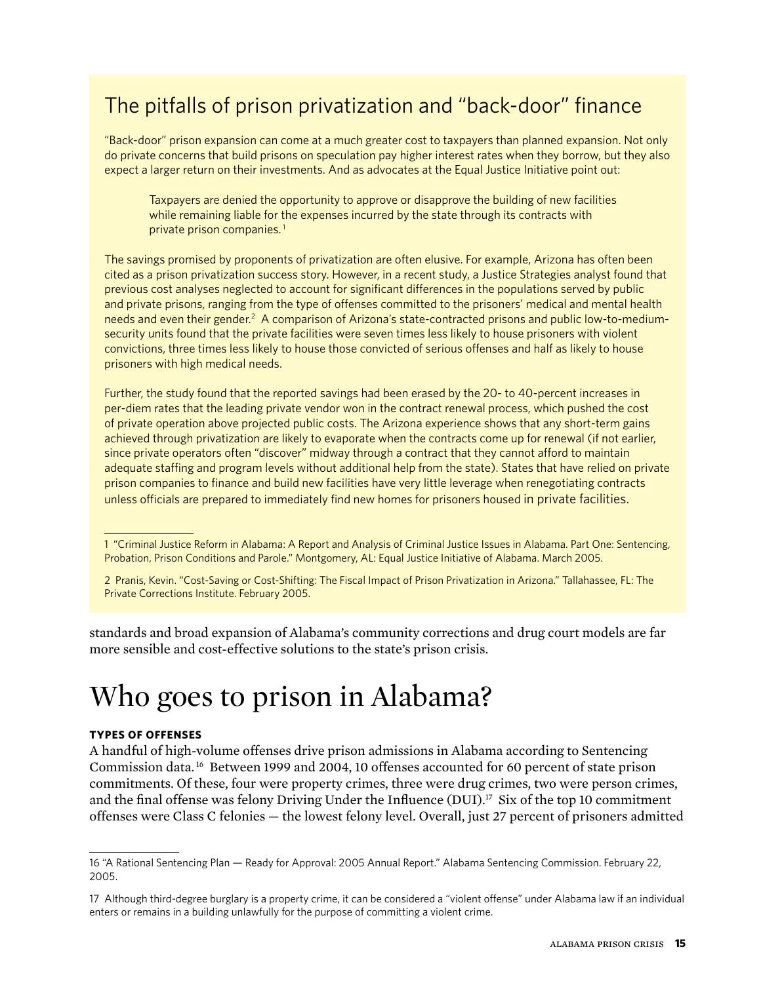# The pitfalls of prison privatization and "back-door" finance

"Back-door" prison expansion can come at a much greater cost to taxpayers than planned expansion. Not only do private concerns that build prisons on speculation pay higher interest rates when they borrow, but they also expect a larger return on their investments. And as advocates at the Equal Justice Initiative point out:

Taxpayers are denied the opportunity to approve or disapprove the building of new facilities while remaining liable for the expenses incurred by the state through its contracts with private prison companies.

The savings promised by proponents of privatization are often elusive. For example, Arizona has often been cited as a prison privatization success story. However, in a recent study, a Justice Strategies analyst found that previous cost analyses neglected to account for significant differences in the populations served by public and private prisons, ranging from the type of offenses committed to the prisoners' medical and mental health needs and even their gender.<sup>2</sup> A comparison of Arizona's state-contracted prisons and public low-to-mediumsecurity units found that the private facilities were seven times less likely to house prisoners with violent convictions, three times less likely to house those convicted of serious offenses and half as likely to house prisoners with high medical needs.

Further, the study found that the reported savings had been erased by the 20- to 40-percent increases in per-diem rates that the leading private vendor won in the contract renewal process, which pushed the cost of private operation above projected public costs. The Arizona experience shows that any short-term gains achieved through privatization are likely to evaporate when the contracts come up for renewal (if not earlier, since private operators often "discover" midway through a contract that they cannot afford to maintain adequate staffing and program levels without additional help from the state). States that have relied on private prison companies to finance and build new facilities have very little leverage when renegotiating contracts unless officials are prepared to immediately find new homes for prisoners housed in private facilities.

standards and broad expansion of Alabama's community corrections and drug court models are far more sensible and cost-effective solutions to the state's prison crisis.

# Who goes to prison in Alabama?

#### **Types of offenses**

A handful of high-volume offenses drive prison admissions in Alabama according to Sentencing Commission data. 16 Between 1999 and 2004, 10 offenses accounted for 60 percent of state prison commitments. Of these, four were property crimes, three were drug crimes, two were person crimes, and the final offense was felony Driving Under the Influence (DUI).<sup>17</sup> Six of the top 10 commitment offenses were Class C felonies — the lowest felony level. Overall, just 27 percent of prisoners admitted

 <sup>&</sup>quot;Criminal Justice Reform in Alabama: A Report and Analysis of Criminal Justice Issues in Alabama. Part One: Sentencing, Probation, Prison Conditions and Parole." Montgomery, AL: Equal Justice Initiative of Alabama. March 2005.

Pranis, Kevin. "Cost-Saving or Cost-Shifting: The Fiscal Impact of Prison Privatization in Arizona." Tallahassee, FL: The Private Corrections Institute. February 2005.

<sup>16 &</sup>quot;A Rational Sentencing Plan — Ready for Approval: 2005 Annual Report." Alabama Sentencing Commission. February 22, 2005.

<sup>17</sup> Although third-degree burglary is a property crime, it can be considered a "violent offense" under Alabama law if an individual enters or remains in a building unlawfully for the purpose of committing a violent crime.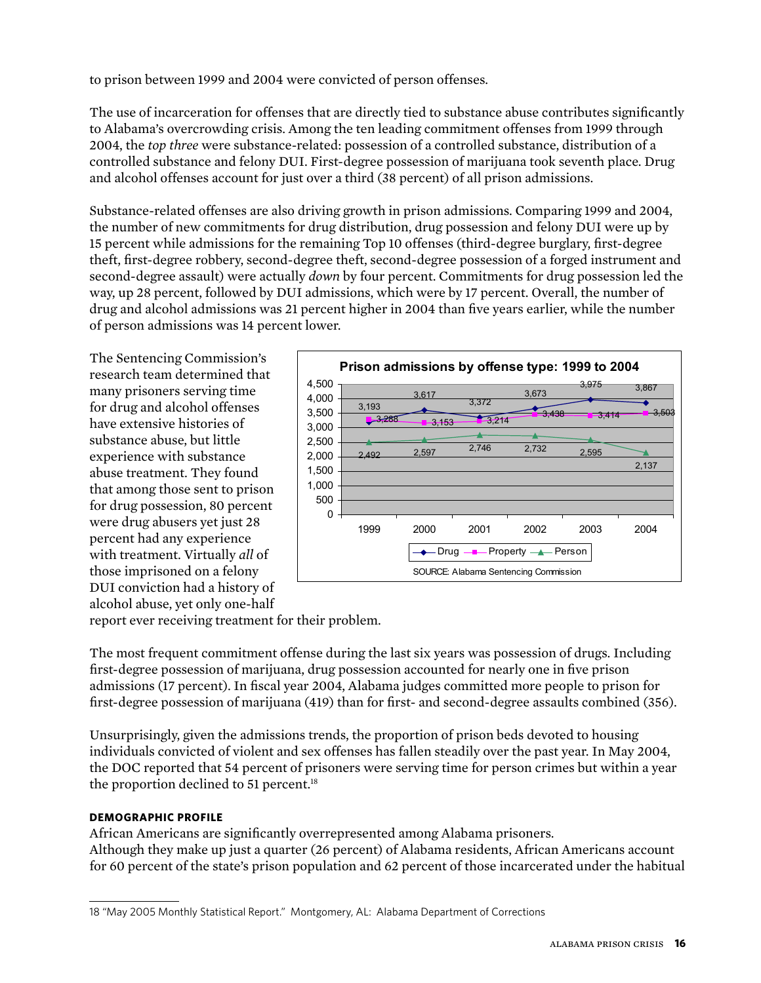to prison between 1999 and 2004 were convicted of person offenses.

The use of incarceration for offenses that are directly tied to substance abuse contributes significantly to Alabama's overcrowding crisis. Among the ten leading commitment offenses from 1999 through 2004, the *top three* were substance-related: possession of a controlled substance, distribution of a controlled substance and felony DUI. First-degree possession of marijuana took seventh place. Drug and alcohol offenses account for just over a third (38 percent) of all prison admissions.

Substance-related offenses are also driving growth in prison admissions. Comparing 1999 and 2004, the number of new commitments for drug distribution, drug possession and felony DUI were up by 15 percent while admissions for the remaining Top 10 offenses (third-degree burglary, first-degree theft, first-degree robbery, second-degree theft, second-degree possession of a forged instrument and second-degree assault) were actually *down* by four percent. Commitments for drug possession led the way, up 28 percent, followed by DUI admissions, which were by 17 percent. Overall, the number of drug and alcohol admissions was 21 percent higher in 2004 than five years earlier, while the number of person admissions was 14 percent lower.

The Sentencing Commission's research team determined that many prisoners serving time for drug and alcohol offenses have extensive histories of substance abuse, but little experience with substance abuse treatment. They found that among those sent to prison for drug possession, 80 percent were drug abusers yet just 28 percent had any experience with treatment. Virtually *all* of those imprisoned on a felony DUI conviction had a history of alcohol abuse, yet only one-half



report ever receiving treatment for their problem.

The most frequent commitment offense during the last six years was possession of drugs. Including first-degree possession of marijuana, drug possession accounted for nearly one in five prison admissions (17 percent). In fiscal year 2004, Alabama judges committed more people to prison for first-degree possession of marijuana (419) than for first- and second-degree assaults combined (356).

Unsurprisingly, given the admissions trends, the proportion of prison beds devoted to housing individuals convicted of violent and sex offenses has fallen steadily over the past year. In May 2004, the DOC reported that 54 percent of prisoners were serving time for person crimes but within a year the proportion declined to 51 percent.<sup>18</sup>

### **Demographic profile**

African Americans are significantly overrepresented among Alabama prisoners. Although they make up just a quarter (26 percent) of Alabama residents, African Americans account for 60 percent of the state's prison population and 62 percent of those incarcerated under the habitual

<sup>18 &</sup>quot;May 2005 Monthly Statistical Report." Montgomery, AL: Alabama Department of Corrections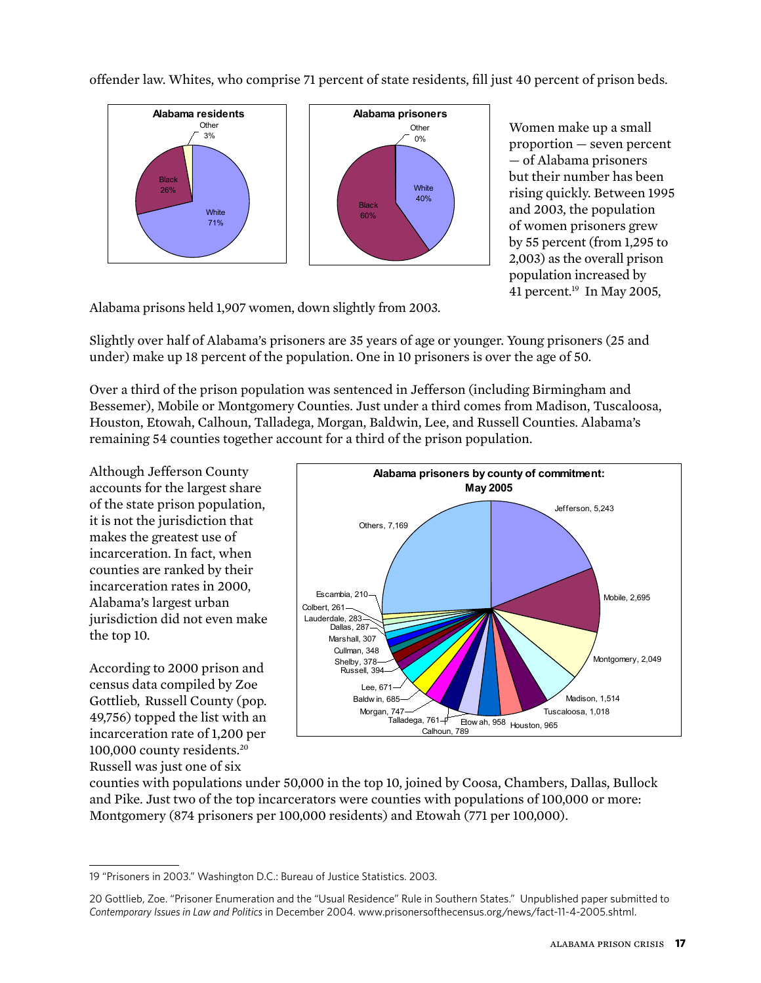offender law. Whites, who comprise 71 percent of state residents, fill just 40 percent of prison beds.



Women make up a small proportion — seven percent — of Alabama prisoners but their number has been rising quickly. Between 1995 and 2003, the population of women prisoners grew by 55 percent (from 1,295 to 2,003) as the overall prison population increased by 41 percent. $19$  In May 2005,

Alabama prisons held 1,907 women, down slightly from 2003.

Slightly over half of Alabama's prisoners are 35 years of age or younger. Young prisoners (25 and under) make up 18 percent of the population. One in 10 prisoners is over the age of 50.

Over a third of the prison population was sentenced in Jefferson (including Birmingham and Bessemer), Mobile or Montgomery Counties. Just under a third comes from Madison, Tuscaloosa, Houston, Etowah, Calhoun, Talladega, Morgan, Baldwin, Lee, and Russell Counties. Alabama's remaining 54 counties together account for a third of the prison population.

Although Jefferson County accounts for the largest share of the state prison population, it is not the jurisdiction that makes the greatest use of incarceration. In fact, when counties are ranked by their incarceration rates in 2000, Alabama's largest urban jurisdiction did not even make the top 10.

According to 2000 prison and census data compiled by Zoe Gottlieb, Russell County (pop. 49,756) topped the list with an incarceration rate of 1,200 per 100,000 county residents.20 Russell was just one of six



counties with populations under 50,000 in the top 10, joined by Coosa, Chambers, Dallas, Bullock and Pike. Just two of the top incarcerators were counties with populations of 100,000 or more: Montgomery (874 prisoners per 100,000 residents) and Etowah (771 per 100,000).

<sup>19 &</sup>quot;Prisoners in 2003." Washington D.C.: Bureau of Justice Statistics. 2003.

<sup>20</sup> Gottlieb, Zoe. "Prisoner Enumeration and the "Usual Residence" Rule in Southern States." Unpublished paper submitted to *Contemporary Issues in Law and Politics* in December 2004. www.prisonersofthecensus.org/news/fact-11-4-2005.shtml.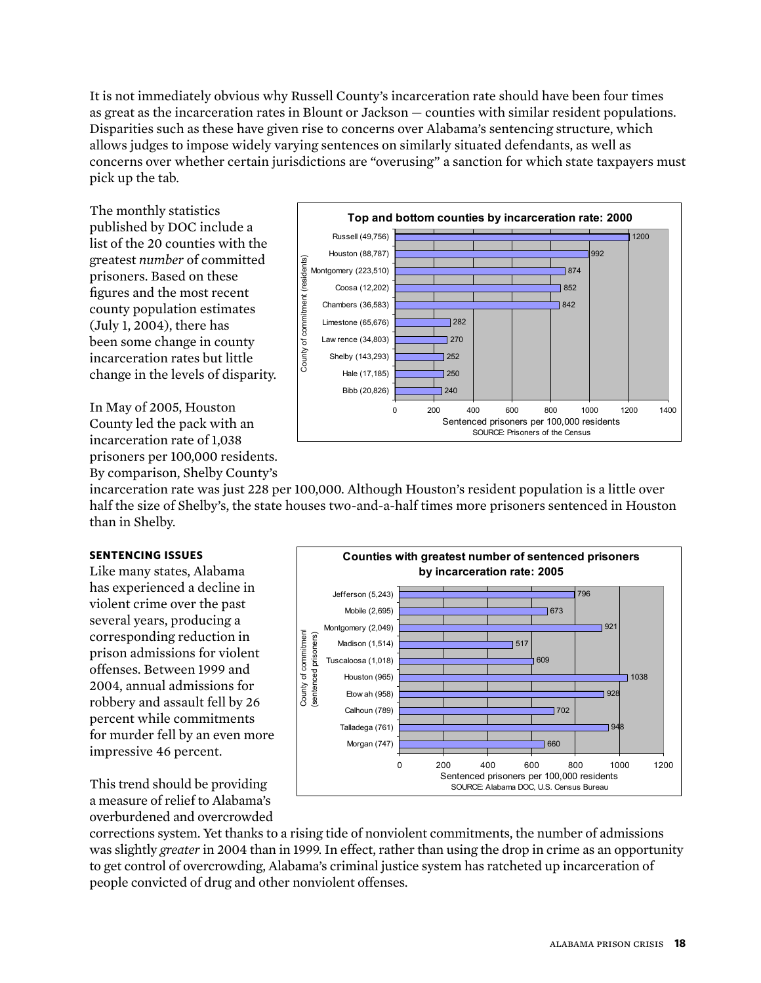It is not immediately obvious why Russell County's incarceration rate should have been four times as great as the incarceration rates in Blount or Jackson — counties with similar resident populations. Disparities such as these have given rise to concerns over Alabama's sentencing structure, which allows judges to impose widely varying sentences on similarly situated defendants, as well as concerns over whether certain jurisdictions are "overusing" a sanction for which state taxpayers must pick up the tab.

The monthly statistics published by DOC include a list of the 20 counties with the greatest *number* of committed prisoners. Based on these figures and the most recent county population estimates (July 1, 2004), there has been some change in county incarceration rates but little change in the levels of disparity.

In May of 2005, Houston County led the pack with an incarceration rate of 1,038 prisoners per 100,000 residents. By comparison, Shelby County's



incarceration rate was just 228 per 100,000. Although Houston's resident population is a little over half the size of Shelby's, the state houses two-and-a-half times more prisoners sentenced in Houston than in Shelby.

#### **SENTENCING ISSUES**

Like many states, Alabama has experienced a decline in violent crime over the past several years, producing a corresponding reduction in prison admissions for violent offenses. Between 1999 and 2004, annual admissions for robbery and assault fell by 26 percent while commitments for murder fell by an even more impressive 46 percent.



This trend should be providing a measure of relief to Alabama's overburdened and overcrowded

corrections system. Yet thanks to a rising tide of nonviolent commitments, the number of admissions was slightly *greater* in 2004 than in 1999. In effect, rather than using the drop in crime as an opportunity to get control of overcrowding, Alabama's criminal justice system has ratcheted up incarceration of people convicted of drug and other nonviolent offenses.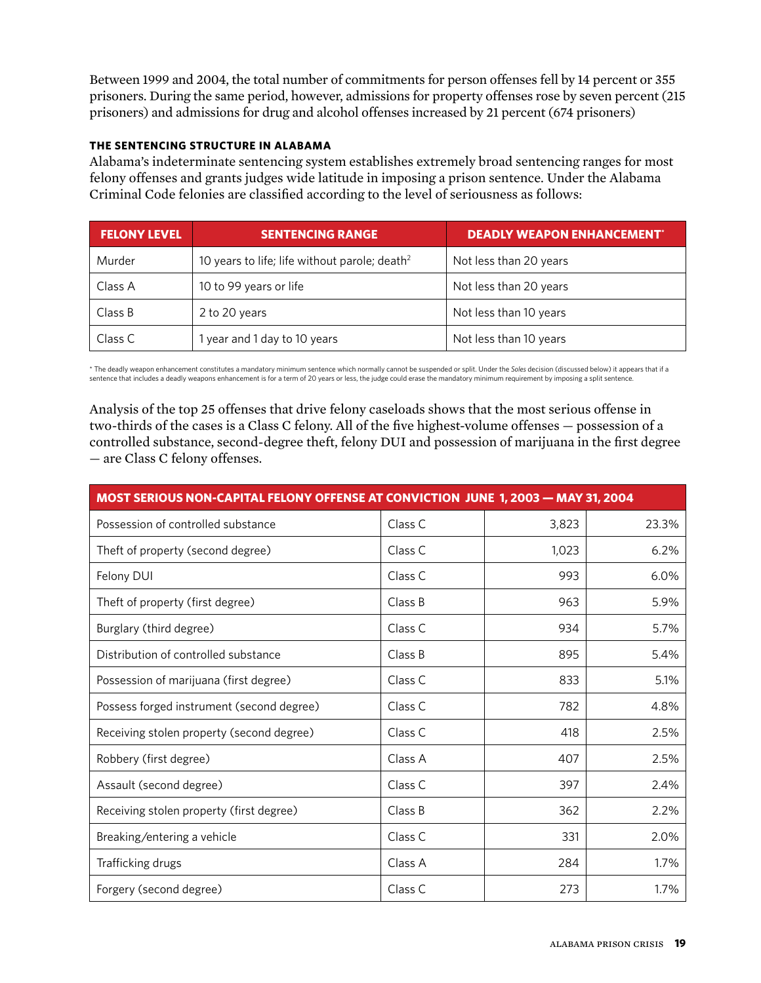Between 1999 and 2004, the total number of commitments for person offenses fell by 14 percent or 355 prisoners. During the same period, however, admissions for property offenses rose by seven percent (215 prisoners) and admissions for drug and alcohol offenses increased by 21 percent (674 prisoners)

#### **The Sentencing Structure in Alabama**

Alabama's indeterminate sentencing system establishes extremely broad sentencing ranges for most felony offenses and grants judges wide latitude in imposing a prison sentence. Under the Alabama Criminal Code felonies are classified according to the level of seriousness as follows:

| <b>FELONY LEVEL</b>      | <b>SENTENCING RANGE</b>                                   | <b>DEADLY WEAPON ENHANCEMENT</b> * |
|--------------------------|-----------------------------------------------------------|------------------------------------|
| Murder                   | 10 years to life; life without parole; death <sup>2</sup> | Not less than 20 years             |
| Class A                  | 10 to 99 years or life                                    | Not less than 20 years             |
| Class B<br>2 to 20 years |                                                           | Not less than 10 years             |
| Class C                  | 1 year and 1 day to 10 years                              | Not less than 10 years             |

\* The deadly weapon enhancement constitutes a mandatory minimum sentence which normally cannot be suspended or split. Under the *Soles* decision (discussed below) it appears that if a sentence that includes a deadly weapons enhancement is for a term of 20 years or less, the judge could erase the mandatory minimum requirement by imposing a split sentence.

Analysis of the top 25 offenses that drive felony caseloads shows that the most serious offense in two-thirds of the cases is a Class C felony. All of the five highest-volume offenses — possession of a controlled substance, second-degree theft, felony DUI and possession of marijuana in the first degree — are Class C felony offenses.

| <b>MOST SERIOUS NON-CAPITAL FELONY OFFENSE AT CONVICTION JUNE 1, 2003 - MAY 31, 2004</b> |         |       |       |
|------------------------------------------------------------------------------------------|---------|-------|-------|
| Possession of controlled substance                                                       | Class C | 3,823 | 23.3% |
| Theft of property (second degree)                                                        | Class C | 1,023 | 6.2%  |
| Felony DUI                                                                               | Class C | 993   | 6.0%  |
| Theft of property (first degree)                                                         | Class B | 963   | 5.9%  |
| Burglary (third degree)                                                                  | Class C | 934   | 5.7%  |
| Distribution of controlled substance                                                     | Class B | 895   | 5.4%  |
| Possession of marijuana (first degree)                                                   | Class C | 833   | 5.1%  |
| Possess forged instrument (second degree)                                                | Class C | 782   | 4.8%  |
| Receiving stolen property (second degree)                                                | Class C | 418   | 2.5%  |
| Robbery (first degree)                                                                   | Class A | 407   | 2.5%  |
| Assault (second degree)                                                                  | Class C | 397   | 2.4%  |
| Receiving stolen property (first degree)                                                 | Class B | 362   | 2.2%  |
| Breaking/entering a vehicle                                                              | Class C | 331   | 2.0%  |
| Trafficking drugs                                                                        | Class A | 284   | 1.7%  |
| Forgery (second degree)                                                                  | Class C | 273   | 1.7%  |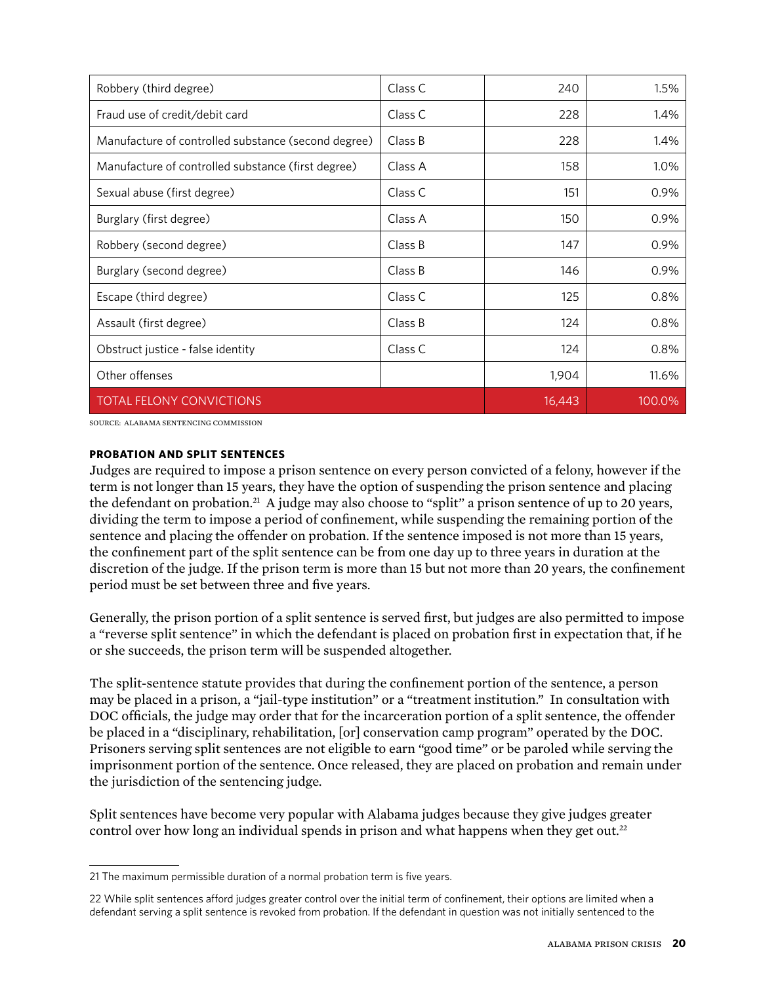| Robbery (third degree)                              | Class C | 240    | 1.5%    |
|-----------------------------------------------------|---------|--------|---------|
| Fraud use of credit/debit card                      | Class C | 228    | 1.4%    |
| Manufacture of controlled substance (second degree) | Class B | 228    | 1.4%    |
| Manufacture of controlled substance (first degree)  | Class A | 158    | $1.0\%$ |
| Sexual abuse (first degree)                         | Class C | 151    | 0.9%    |
| Burglary (first degree)                             | Class A | 150    | 0.9%    |
| Robbery (second degree)                             | Class B | 147    | 0.9%    |
| Burglary (second degree)                            | Class B | 146    | 0.9%    |
| Escape (third degree)                               | Class C | 125    | 0.8%    |
| Assault (first degree)                              | Class B | 124    | 0.8%    |
| Obstruct justice - false identity                   | Class C | 124    | 0.8%    |
| Other offenses                                      |         | 1,904  | 11.6%   |
| <b>TOTAL FELONY CONVICTIONS</b>                     |         | 16,443 | 100.0%  |

SOURCE: Alabama Sentencing Commission

#### **Probation and Split Sentences**

Judges are required to impose a prison sentence on every person convicted of a felony, however if the term is not longer than 15 years, they have the option of suspending the prison sentence and placing the defendant on probation.21 A judge may also choose to "split" a prison sentence of up to 20 years, dividing the term to impose a period of confinement, while suspending the remaining portion of the sentence and placing the offender on probation. If the sentence imposed is not more than 15 years, the confinement part of the split sentence can be from one day up to three years in duration at the discretion of the judge. If the prison term is more than 15 but not more than 20 years, the confinement period must be set between three and five years.

Generally, the prison portion of a split sentence is served first, but judges are also permitted to impose a "reverse split sentence" in which the defendant is placed on probation first in expectation that, if he or she succeeds, the prison term will be suspended altogether.

The split-sentence statute provides that during the confinement portion of the sentence, a person may be placed in a prison, a "jail-type institution" or a "treatment institution." In consultation with DOC officials, the judge may order that for the incarceration portion of a split sentence, the offender be placed in a "disciplinary, rehabilitation, [or] conservation camp program" operated by the DOC. Prisoners serving split sentences are not eligible to earn "good time" or be paroled while serving the imprisonment portion of the sentence. Once released, they are placed on probation and remain under the jurisdiction of the sentencing judge.

Split sentences have become very popular with Alabama judges because they give judges greater control over how long an individual spends in prison and what happens when they get out.<sup>22</sup>

<sup>21</sup> The maximum permissible duration of a normal probation term is five years.

<sup>22</sup> While split sentences afford judges greater control over the initial term of confinement, their options are limited when a defendant serving a split sentence is revoked from probation. If the defendant in question was not initially sentenced to the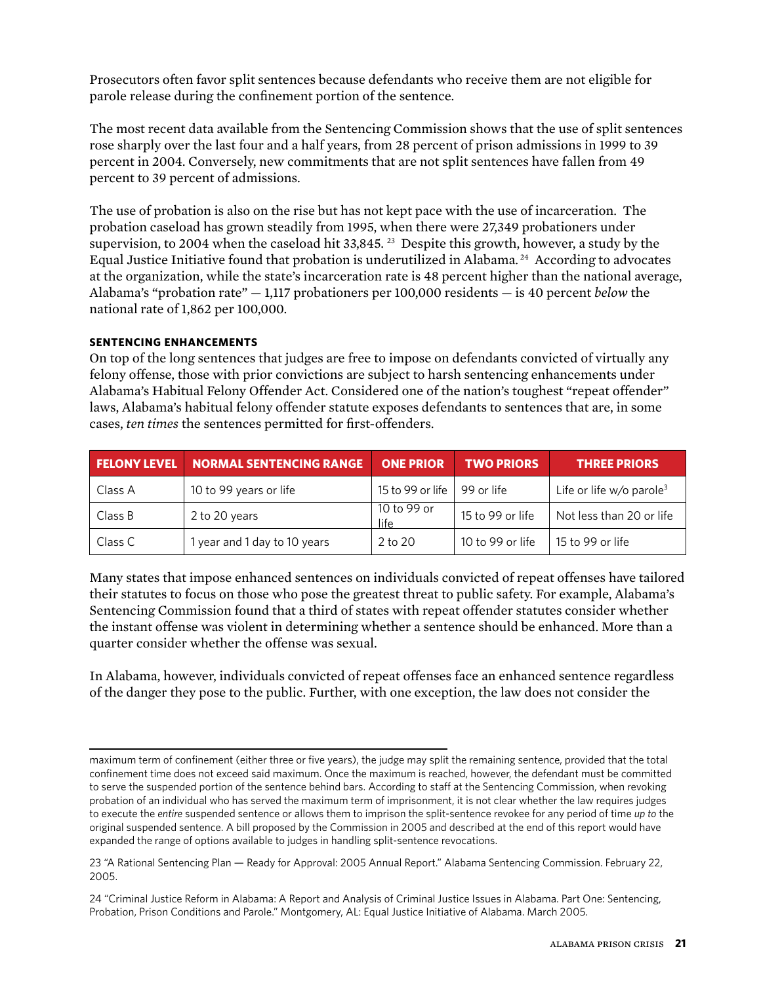Prosecutors often favor split sentences because defendants who receive them are not eligible for parole release during the confinement portion of the sentence.

The most recent data available from the Sentencing Commission shows that the use of split sentences rose sharply over the last four and a half years, from 28 percent of prison admissions in 1999 to 39 percent in 2004. Conversely, new commitments that are not split sentences have fallen from 49 percent to 39 percent of admissions.

The use of probation is also on the rise but has not kept pace with the use of incarceration. The probation caseload has grown steadily from 1995, when there were 27,349 probationers under supervision, to 2004 when the caseload hit  $33,845$ . <sup>23</sup> Despite this growth, however, a study by the Equal Justice Initiative found that probation is underutilized in Alabama. 24 According to advocates at the organization, while the state's incarceration rate is 48 percent higher than the national average, Alabama's "probation rate" — 1,117 probationers per 100,000 residents — is 40 percent *below* the national rate of 1,862 per 100,000.

### **Sentencing Enhancements**

On top of the long sentences that judges are free to impose on defendants convicted of virtually any felony offense, those with prior convictions are subject to harsh sentencing enhancements under Alabama's Habitual Felony Offender Act. Considered one of the nation's toughest "repeat offender" laws, Alabama's habitual felony offender statute exposes defendants to sentences that are, in some cases, *ten times* the sentences permitted for first-offenders.

| <b>FELONY LEVEL</b> | <b>NORMAL SENTENCING RANGE</b> | <b>ONE PRIOR</b>    | <b>TWO PRIORS</b> | <b>THREE PRIORS</b>                  |
|---------------------|--------------------------------|---------------------|-------------------|--------------------------------------|
| Class A             | 10 to 99 years or life         | 15 to 99 or life    | 99 or life        | Life or life w/o parole <sup>3</sup> |
| Class B             | 2 to 20 years                  | 10 to 99 or<br>life | 15 to 99 or life  | Not less than 20 or life             |
| Class C             | I year and 1 day to 10 years   | 2 to 20             | 10 to 99 or life  | 15 to 99 or life                     |

Many states that impose enhanced sentences on individuals convicted of repeat offenses have tailored their statutes to focus on those who pose the greatest threat to public safety. For example, Alabama's Sentencing Commission found that a third of states with repeat offender statutes consider whether the instant offense was violent in determining whether a sentence should be enhanced. More than a quarter consider whether the offense was sexual.

In Alabama, however, individuals convicted of repeat offenses face an enhanced sentence regardless of the danger they pose to the public. Further, with one exception, the law does not consider the

maximum term of confinement (either three or five years), the judge may split the remaining sentence, provided that the total confinement time does not exceed said maximum. Once the maximum is reached, however, the defendant must be committed to serve the suspended portion of the sentence behind bars. According to staff at the Sentencing Commission, when revoking probation of an individual who has served the maximum term of imprisonment, it is not clear whether the law requires judges to execute the *entire* suspended sentence or allows them to imprison the split-sentence revokee for any period of time *up to* the original suspended sentence. A bill proposed by the Commission in 2005 and described at the end of this report would have expanded the range of options available to judges in handling split-sentence revocations.

<sup>23 &</sup>quot;A Rational Sentencing Plan — Ready for Approval: 2005 Annual Report." Alabama Sentencing Commission. February 22, 2005.

<sup>24 &</sup>quot;Criminal Justice Reform in Alabama: A Report and Analysis of Criminal Justice Issues in Alabama. Part One: Sentencing, Probation, Prison Conditions and Parole." Montgomery, AL: Equal Justice Initiative of Alabama. March 2005.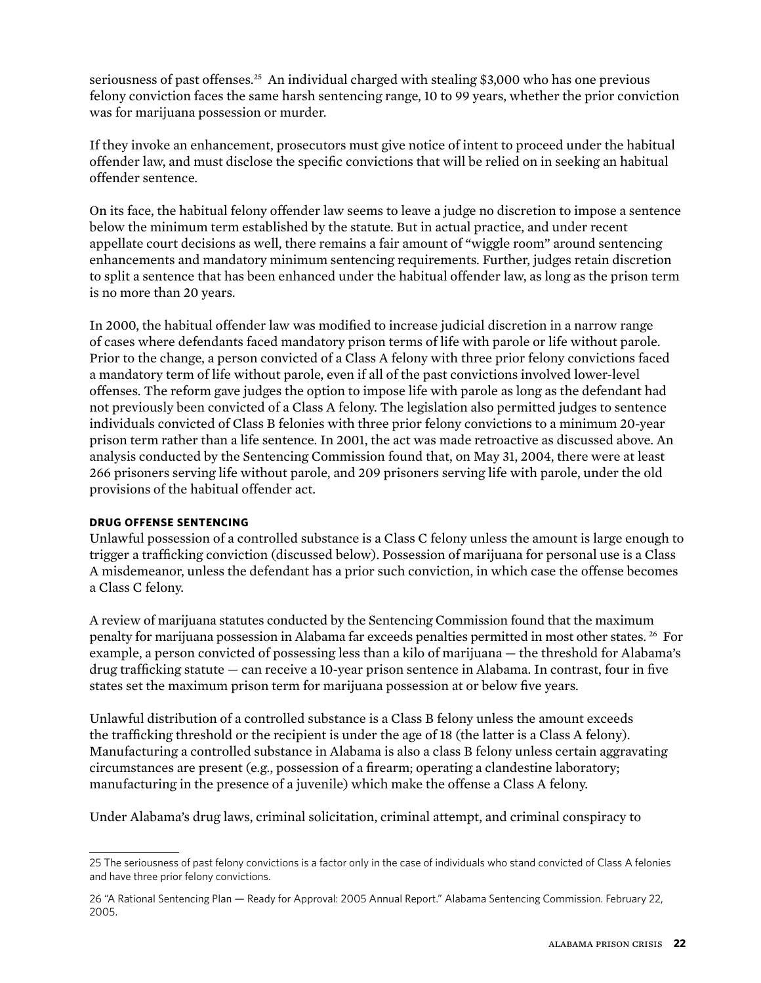seriousness of past offenses.<sup>25</sup> An individual charged with stealing \$3,000 who has one previous felony conviction faces the same harsh sentencing range, 10 to 99 years, whether the prior conviction was for marijuana possession or murder.

If they invoke an enhancement, prosecutors must give notice of intent to proceed under the habitual offender law, and must disclose the specific convictions that will be relied on in seeking an habitual offender sentence.

On its face, the habitual felony offender law seems to leave a judge no discretion to impose a sentence below the minimum term established by the statute. But in actual practice, and under recent appellate court decisions as well, there remains a fair amount of "wiggle room" around sentencing enhancements and mandatory minimum sentencing requirements. Further, judges retain discretion to split a sentence that has been enhanced under the habitual offender law, as long as the prison term is no more than 20 years.

In 2000, the habitual offender law was modified to increase judicial discretion in a narrow range of cases where defendants faced mandatory prison terms of life with parole or life without parole. Prior to the change, a person convicted of a Class A felony with three prior felony convictions faced a mandatory term of life without parole, even if all of the past convictions involved lower-level offenses. The reform gave judges the option to impose life with parole as long as the defendant had not previously been convicted of a Class A felony. The legislation also permitted judges to sentence individuals convicted of Class B felonies with three prior felony convictions to a minimum 20-year prison term rather than a life sentence. In 2001, the act was made retroactive as discussed above. An analysis conducted by the Sentencing Commission found that, on May 31, 2004, there were at least 266 prisoners serving life without parole, and 209 prisoners serving life with parole, under the old provisions of the habitual offender act.

### **Drug offense sentencing**

Unlawful possession of a controlled substance is a Class C felony unless the amount is large enough to trigger a trafficking conviction (discussed below). Possession of marijuana for personal use is a Class A misdemeanor, unless the defendant has a prior such conviction, in which case the offense becomes a Class C felony.

A review of marijuana statutes conducted by the Sentencing Commission found that the maximum penalty for marijuana possession in Alabama far exceeds penalties permitted in most other states. 26 For example, a person convicted of possessing less than a kilo of marijuana — the threshold for Alabama's drug trafficking statute — can receive a 10-year prison sentence in Alabama. In contrast, four in five states set the maximum prison term for marijuana possession at or below five years.

Unlawful distribution of a controlled substance is a Class B felony unless the amount exceeds the trafficking threshold or the recipient is under the age of 18 (the latter is a Class A felony). Manufacturing a controlled substance in Alabama is also a class B felony unless certain aggravating circumstances are present (e.g., possession of a firearm; operating a clandestine laboratory; manufacturing in the presence of a juvenile) which make the offense a Class A felony.

Under Alabama's drug laws, criminal solicitation, criminal attempt, and criminal conspiracy to

<sup>25</sup> The seriousness of past felony convictions is a factor only in the case of individuals who stand convicted of Class A felonies and have three prior felony convictions.

<sup>26 &</sup>quot;A Rational Sentencing Plan — Ready for Approval: 2005 Annual Report." Alabama Sentencing Commission. February 22, 2005.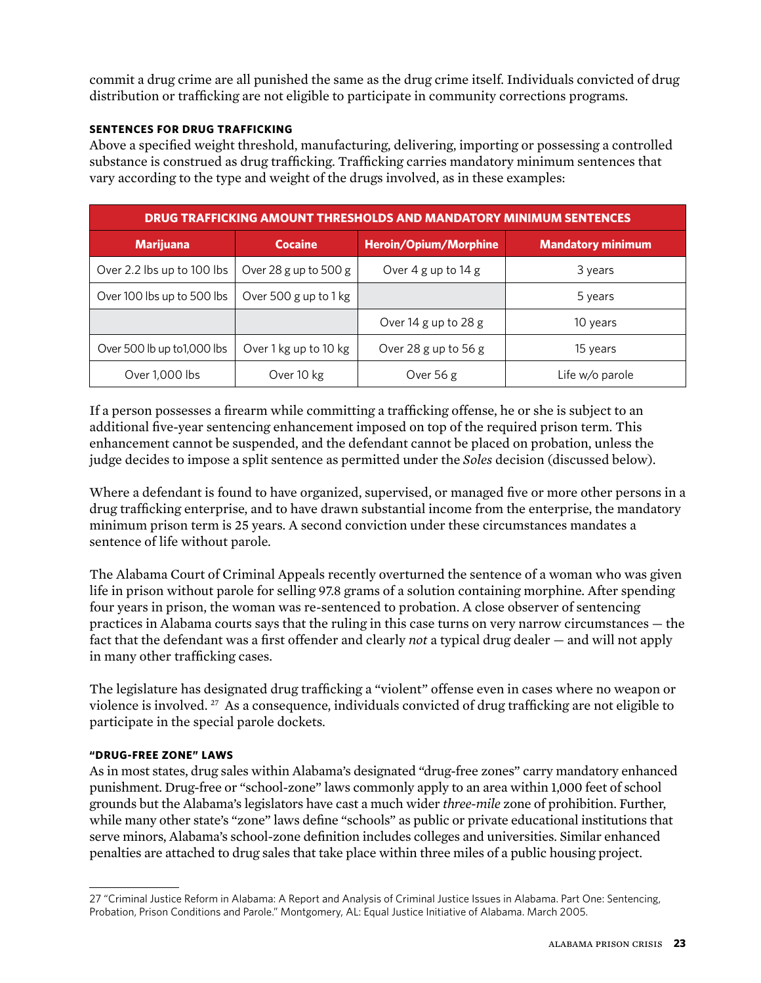commit a drug crime are all punished the same as the drug crime itself. Individuals convicted of drug distribution or trafficking are not eligible to participate in community corrections programs.

#### **Sentences for drug trafficking**

Above a specified weight threshold, manufacturing, delivering, importing or possessing a controlled substance is construed as drug trafficking. Trafficking carries mandatory minimum sentences that vary according to the type and weight of the drugs involved, as in these examples:

| DRUG TRAFFICKING AMOUNT THRESHOLDS AND MANDATORY MINIMUM SENTENCES |                       |                                         |                          |  |  |
|--------------------------------------------------------------------|-----------------------|-----------------------------------------|--------------------------|--|--|
| <b>Marijuana</b>                                                   | <b>Cocaine</b>        | <b>Heroin/Opium/Morphine</b>            | <b>Mandatory minimum</b> |  |  |
| Over 2.2 lbs up to 100 lbs                                         | Over 28 g up to 500 g | Over $4 \text{ g}$ up to $14 \text{ g}$ | 3 years                  |  |  |
| Over 100 lbs up to 500 lbs                                         | Over 500 g up to 1 kg |                                         | 5 years                  |  |  |
|                                                                    |                       | Over 14 g up to 28 g                    | 10 years                 |  |  |
| Over 500 lb up to 1,000 lbs                                        | Over 1 kg up to 10 kg | Over 28 g up to 56 g                    | 15 years                 |  |  |
| Over 1,000 lbs                                                     | Over 10 kg            | Over $56g$                              | Life w/o parole          |  |  |

If a person possesses a firearm while committing a trafficking offense, he or she is subject to an additional five-year sentencing enhancement imposed on top of the required prison term. This enhancement cannot be suspended, and the defendant cannot be placed on probation, unless the judge decides to impose a split sentence as permitted under the *Soles* decision (discussed below).

Where a defendant is found to have organized, supervised, or managed five or more other persons in a drug trafficking enterprise, and to have drawn substantial income from the enterprise, the mandatory minimum prison term is 25 years. A second conviction under these circumstances mandates a sentence of life without parole.

The Alabama Court of Criminal Appeals recently overturned the sentence of a woman who was given life in prison without parole for selling 97.8 grams of a solution containing morphine. After spending four years in prison, the woman was re-sentenced to probation. A close observer of sentencing practices in Alabama courts says that the ruling in this case turns on very narrow circumstances — the fact that the defendant was a first offender and clearly *not* a typical drug dealer — and will not apply in many other trafficking cases.

The legislature has designated drug trafficking a "violent" offense even in cases where no weapon or violence is involved. 27 As a consequence, individuals convicted of drug trafficking are not eligible to participate in the special parole dockets.

#### **"Drug-free zone" laws**

As in most states, drug sales within Alabama's designated "drug-free zones" carry mandatory enhanced punishment. Drug-free or "school-zone" laws commonly apply to an area within 1,000 feet of school grounds but the Alabama's legislators have cast a much wider *three-mile* zone of prohibition. Further, while many other state's "zone" laws define "schools" as public or private educational institutions that serve minors, Alabama's school-zone definition includes colleges and universities. Similar enhanced penalties are attached to drug sales that take place within three miles of a public housing project.

<sup>27 &</sup>quot;Criminal Justice Reform in Alabama: A Report and Analysis of Criminal Justice Issues in Alabama. Part One: Sentencing, Probation, Prison Conditions and Parole." Montgomery, AL: Equal Justice Initiative of Alabama. March 2005.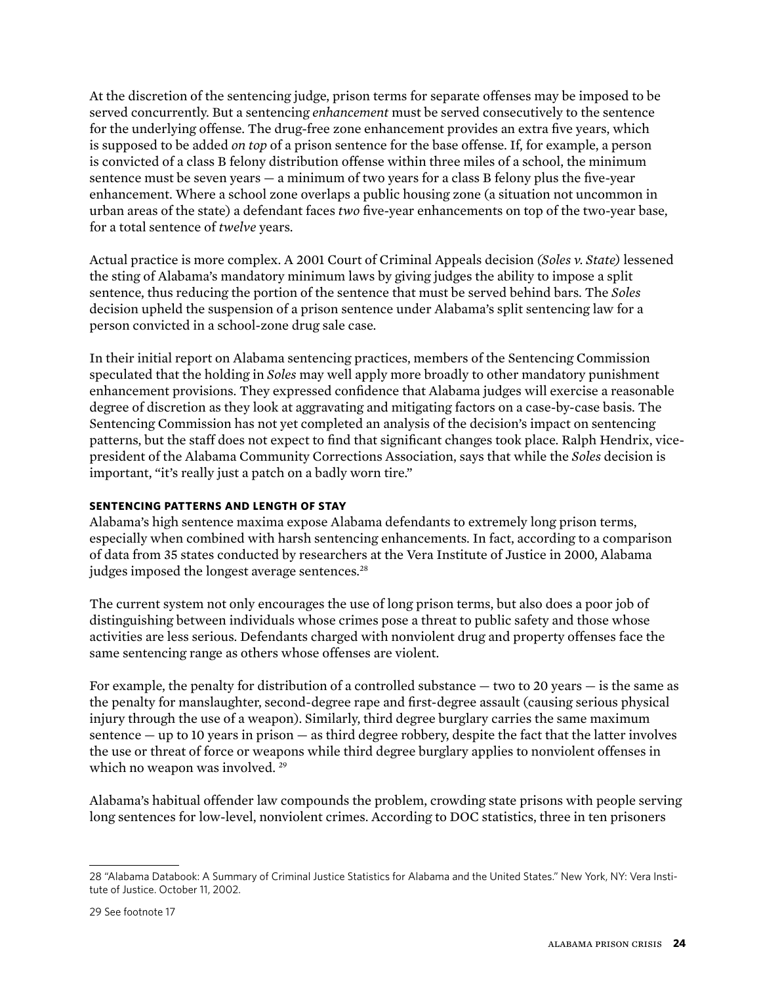At the discretion of the sentencing judge, prison terms for separate offenses may be imposed to be served concurrently. But a sentencing *enhancement* must be served consecutively to the sentence for the underlying offense. The drug-free zone enhancement provides an extra five years, which is supposed to be added *on top* of a prison sentence for the base offense. If, for example, a person is convicted of a class B felony distribution offense within three miles of a school, the minimum sentence must be seven years — a minimum of two years for a class B felony plus the five-year enhancement. Where a school zone overlaps a public housing zone (a situation not uncommon in urban areas of the state) a defendant faces *two* five-year enhancements on top of the two-year base, for a total sentence of *twelve* years.

Actual practice is more complex. A 2001 Court of Criminal Appeals decision *(Soles v. State)* lessened the sting of Alabama's mandatory minimum laws by giving judges the ability to impose a split sentence, thus reducing the portion of the sentence that must be served behind bars. The *Soles*  decision upheld the suspension of a prison sentence under Alabama's split sentencing law for a person convicted in a school-zone drug sale case.

In their initial report on Alabama sentencing practices, members of the Sentencing Commission speculated that the holding in *Soles* may well apply more broadly to other mandatory punishment enhancement provisions. They expressed confidence that Alabama judges will exercise a reasonable degree of discretion as they look at aggravating and mitigating factors on a case-by-case basis. The Sentencing Commission has not yet completed an analysis of the decision's impact on sentencing patterns, but the staff does not expect to find that significant changes took place. Ralph Hendrix, vicepresident of the Alabama Community Corrections Association, says that while the *Soles* decision is important, "it's really just a patch on a badly worn tire."

## **SENTENCING PATTERNS AND LENGTH OF STAY**

Alabama's high sentence maxima expose Alabama defendants to extremely long prison terms, especially when combined with harsh sentencing enhancements. In fact, according to a comparison of data from 35 states conducted by researchers at the Vera Institute of Justice in 2000, Alabama judges imposed the longest average sentences.<sup>28</sup>

The current system not only encourages the use of long prison terms, but also does a poor job of distinguishing between individuals whose crimes pose a threat to public safety and those whose activities are less serious. Defendants charged with nonviolent drug and property offenses face the same sentencing range as others whose offenses are violent.

For example, the penalty for distribution of a controlled substance — two to 20 years — is the same as the penalty for manslaughter, second-degree rape and first-degree assault (causing serious physical injury through the use of a weapon). Similarly, third degree burglary carries the same maximum sentence — up to 10 years in prison — as third degree robbery, despite the fact that the latter involves the use or threat of force or weapons while third degree burglary applies to nonviolent offenses in which no weapon was involved.<sup>29</sup>

Alabama's habitual offender law compounds the problem, crowding state prisons with people serving long sentences for low-level, nonviolent crimes. According to DOC statistics, three in ten prisoners

<sup>28 &</sup>quot;Alabama Databook: A Summary of Criminal Justice Statistics for Alabama and the United States." New York, NY: Vera Institute of Justice. October 11, 2002.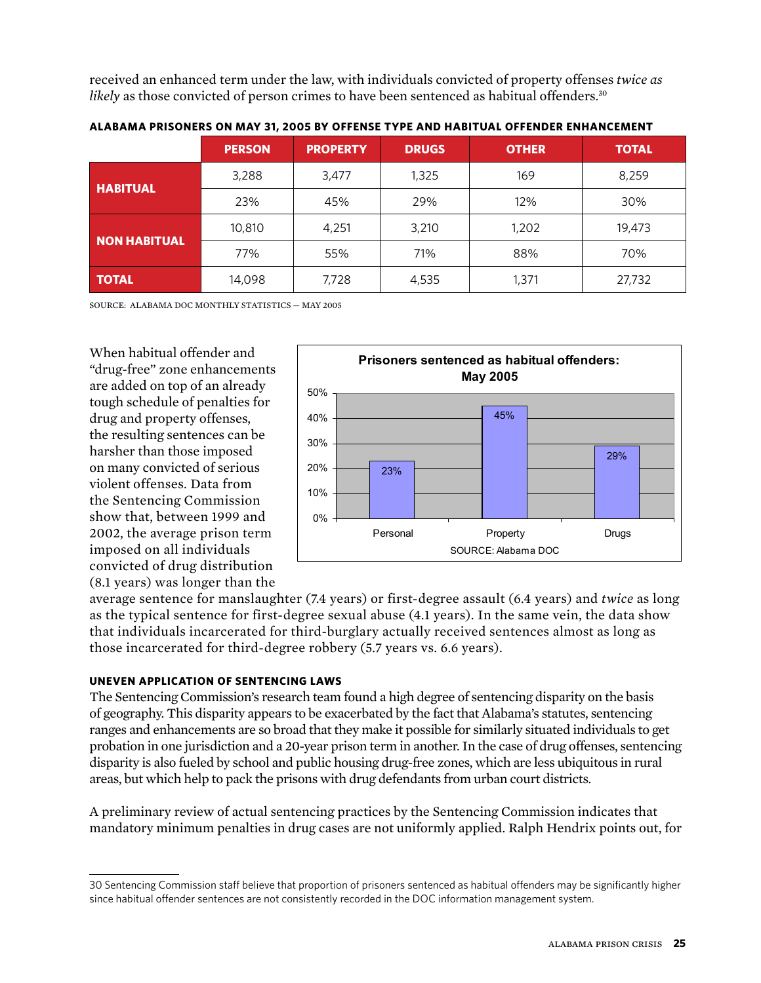received an enhanced term under the law, with individuals convicted of property offenses *twice as likely* as those convicted of person crimes to have been sentenced as habitual offenders.<sup>30</sup>

|                     | <b>PERSON</b> | <b>PROPERTY</b> | <b>DRUGS</b> | <b>OTHER</b> | <b>TOTAL</b> |
|---------------------|---------------|-----------------|--------------|--------------|--------------|
| <b>HABITUAL</b>     | 3,288         | 3,477           | 1,325        | 169          | 8,259        |
|                     | 23%           | 45%             | 29%          | 12%          | 30%          |
| <b>NON HABITUAL</b> | 10,810        | 4,251           | 3,210        | 1,202        | 19,473       |
|                     | 77%           | 55%             | 71%          | 88%          | 70%          |
| <b>TOTAL</b>        | 14,098        | 7,728           | 4,535        | 1,371        | 27,732       |

**Alabama prisoners on May 31, 2005 by offense type and habitual offender enhancement**

 $S$ OURCE: ALABAMA DOC MONTHLY STATISTICS  $=$  MAY 2005

When habitual offender and "drug-free" zone enhancements are added on top of an already tough schedule of penalties for drug and property offenses, the resulting sentences can be harsher than those imposed on many convicted of serious violent offenses. Data from the Sentencing Commission show that, between 1999 and 2002, the average prison term imposed on all individuals convicted of drug distribution (8.1 years) was longer than the



average sentence for manslaughter (7.4 years) or first-degree assault (6.4 years) and *twice* as long as the typical sentence for first-degree sexual abuse (4.1 years). In the same vein, the data show that individuals incarcerated for third-burglary actually received sentences almost as long as those incarcerated for third-degree robbery (5.7 years vs. 6.6 years).

#### **Uneven Application of Sentencing Laws**

The Sentencing Commission's research team found a high degree of sentencing disparity on the basis of geography. This disparity appears to be exacerbated by the fact that Alabama's statutes, sentencing ranges and enhancements are so broad that they make it possible for similarly situated individuals to get probation in one jurisdiction and a 20-year prison term in another. In the case of drug offenses, sentencing disparity is also fueled by school and public housing drug-free zones, which are less ubiquitous in rural areas, but which help to pack the prisons with drug defendants from urban court districts.

A preliminary review of actual sentencing practices by the Sentencing Commission indicates that mandatory minimum penalties in drug cases are not uniformly applied. Ralph Hendrix points out, for

<sup>30</sup> Sentencing Commission staff believe that proportion of prisoners sentenced as habitual offenders may be significantly higher since habitual offender sentences are not consistently recorded in the DOC information management system.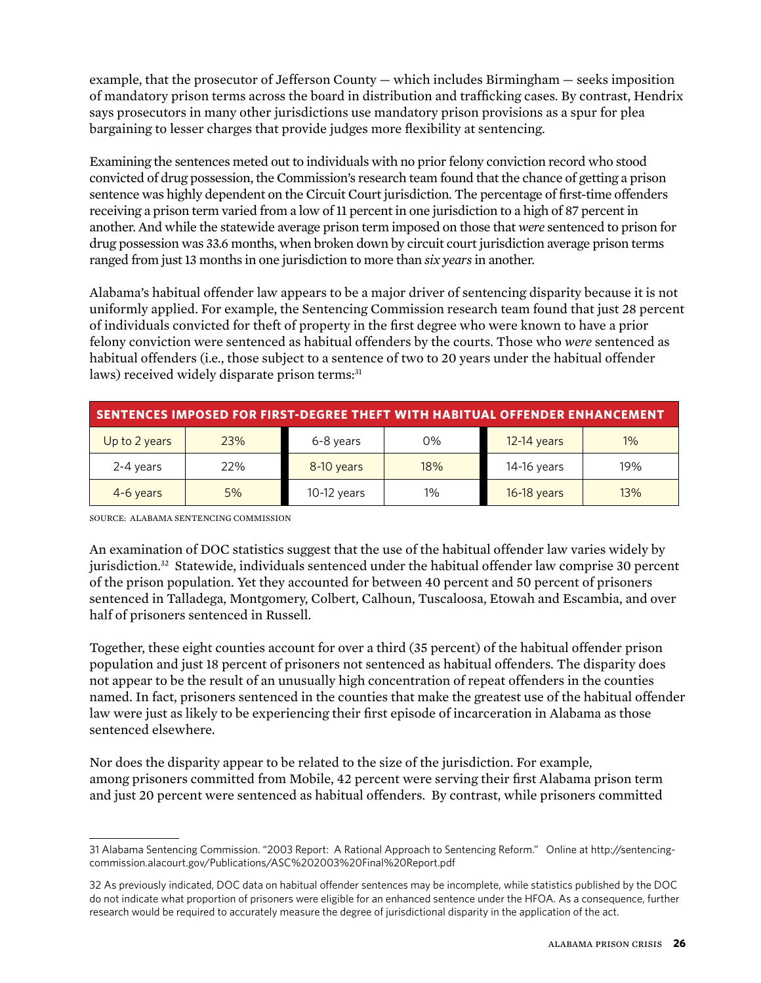example, that the prosecutor of Jefferson County — which includes Birmingham — seeks imposition of mandatory prison terms across the board in distribution and trafficking cases. By contrast, Hendrix says prosecutors in many other jurisdictions use mandatory prison provisions as a spur for plea bargaining to lesser charges that provide judges more flexibility at sentencing.

Examining the sentences meted out to individuals with no prior felony conviction record who stood convicted of drug possession, the Commission's research team found that the chance of getting a prison sentence was highly dependent on the Circuit Court jurisdiction. The percentage of first-time offenders receiving a prison term varied from a low of 11 percent in one jurisdiction to a high of 87 percent in another. And while the statewide average prison term imposed on those that *were* sentenced to prison for drug possession was 33.6 months, when broken down by circuit court jurisdiction average prison terms ranged from just 13 months in one jurisdiction to more than *six years* in another.

Alabama's habitual offender law appears to be a major driver of sentencing disparity because it is not uniformly applied. For example, the Sentencing Commission research team found that just 28 percent of individuals convicted for theft of property in the first degree who were known to have a prior felony conviction were sentenced as habitual offenders by the courts. Those who *were* sentenced as habitual offenders (i.e., those subject to a sentence of two to 20 years under the habitual offender laws) received widely disparate prison terms:<sup>31</sup>

| SENTENCES IMPOSED FOR FIRST-DEGREE THEFT WITH HABITUAL OFFENDER ENHANCEMENT |     |               |       |               |     |
|-----------------------------------------------------------------------------|-----|---------------|-------|---------------|-----|
| Up to 2 years                                                               | 23% | 6-8 years     | 0%    | $12-14$ years | 1%  |
| 2-4 years                                                                   | 22% | 8-10 years    | 18%   | 14-16 years   | 19% |
| 4-6 years                                                                   | 5%  | $10-12$ years | $1\%$ | $16-18$ years | 13% |

SOURCE: Alabama Sentencing Commission

An examination of DOC statistics suggest that the use of the habitual offender law varies widely by jurisdiction.32 Statewide, individuals sentenced under the habitual offender law comprise 30 percent of the prison population. Yet they accounted for between 40 percent and 50 percent of prisoners sentenced in Talladega, Montgomery, Colbert, Calhoun, Tuscaloosa, Etowah and Escambia, and over half of prisoners sentenced in Russell.

Together, these eight counties account for over a third (35 percent) of the habitual offender prison population and just 18 percent of prisoners not sentenced as habitual offenders. The disparity does not appear to be the result of an unusually high concentration of repeat offenders in the counties named. In fact, prisoners sentenced in the counties that make the greatest use of the habitual offender law were just as likely to be experiencing their first episode of incarceration in Alabama as those sentenced elsewhere.

Nor does the disparity appear to be related to the size of the jurisdiction. For example, among prisoners committed from Mobile, 42 percent were serving their first Alabama prison term and just 20 percent were sentenced as habitual offenders. By contrast, while prisoners committed

<sup>31</sup> Alabama Sentencing Commission. "2003 Report: A Rational Approach to Sentencing Reform." Online at http://sentencingcommission.alacourt.gov/Publications/ASC%202003%20Final%20Report.pdf

<sup>32</sup> As previously indicated, DOC data on habitual offender sentences may be incomplete, while statistics published by the DOC do not indicate what proportion of prisoners were eligible for an enhanced sentence under the HFOA. As a consequence, further research would be required to accurately measure the degree of jurisdictional disparity in the application of the act.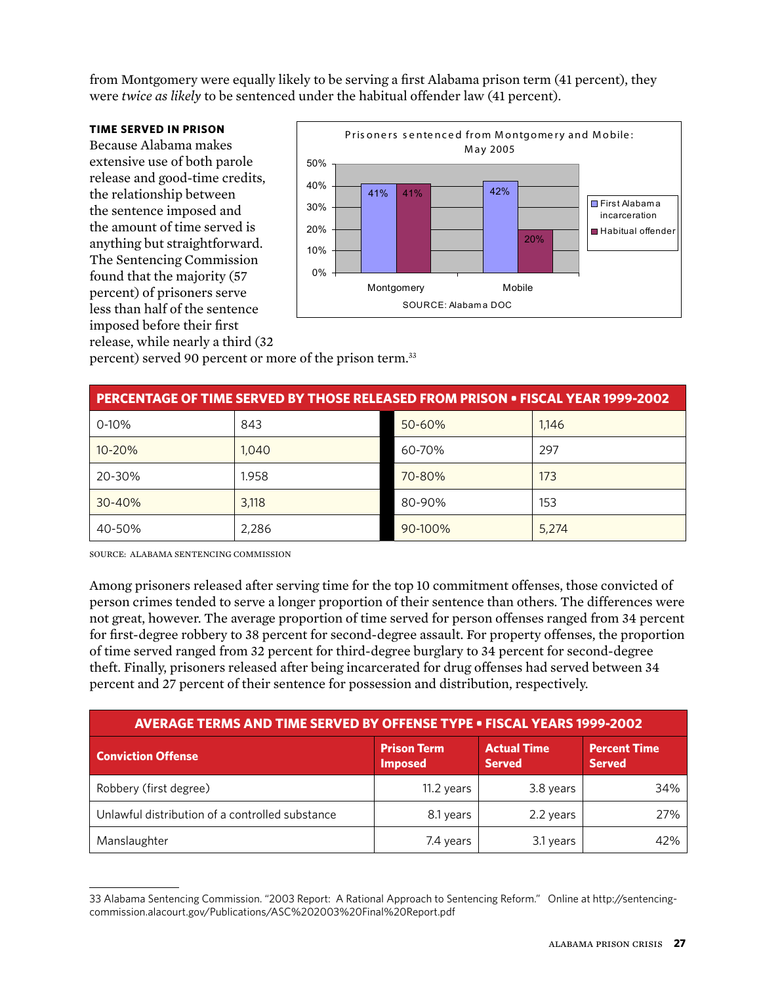from Montgomery were equally likely to be serving a first Alabama prison term (41 percent), they were *twice as likely* to be sentenced under the habitual offender law (41 percent).

#### **Time Served in Prison**

Because Alabama makes extensive use of both parole release and good-time credits, the relationship between the sentence imposed and the amount of time served is anything but straightforward. The Sentencing Commission found that the majority (57 percent) of prisoners serve less than half of the sentence imposed before their first release, while nearly a third (32



percent) served 90 percent or more of the prison term.33

| <b>PERCENTAGE OF TIME SERVED BY THOSE RELEASED FROM PRISON . FISCAL YEAR 1999-2002</b> |       |         |       |  |
|----------------------------------------------------------------------------------------|-------|---------|-------|--|
| $0 - 10%$                                                                              | 843   | 50-60%  | 1,146 |  |
| 10-20%                                                                                 | 1,040 | 60-70%  | 297   |  |
| 20-30%                                                                                 | 1.958 | 70-80%  | 173   |  |
| $30 - 40%$                                                                             | 3,118 | 80-90%  | 153   |  |
| 40-50%                                                                                 | 2,286 | 90-100% | 5,274 |  |

SOURCE: Alabama Sentencing Commission

Among prisoners released after serving time for the top 10 commitment offenses, those convicted of person crimes tended to serve a longer proportion of their sentence than others. The differences were not great, however. The average proportion of time served for person offenses ranged from 34 percent for first-degree robbery to 38 percent for second-degree assault. For property offenses, the proportion of time served ranged from 32 percent for third-degree burglary to 34 percent for second-degree theft. Finally, prisoners released after being incarcerated for drug offenses had served between 34 percent and 27 percent of their sentence for possession and distribution, respectively.

| <b>AVERAGE TERMS AND TIME SERVED BY OFFENSE TYPE . FISCAL YEARS 1999-2002</b> |                                      |                                     |                                      |  |  |
|-------------------------------------------------------------------------------|--------------------------------------|-------------------------------------|--------------------------------------|--|--|
| <b>Conviction Offense</b>                                                     | <b>Prison Term</b><br><b>Imposed</b> | <b>Actual Time</b><br><b>Served</b> | <b>Percent Time</b><br><b>Served</b> |  |  |
| Robbery (first degree)                                                        | 11.2 years                           | 3.8 years                           | 34%                                  |  |  |
| Unlawful distribution of a controlled substance                               | 8.1 years                            | 2.2 years                           | 27%                                  |  |  |
| Manslaughter                                                                  | 7.4 years                            | 3.1 years                           | 42%                                  |  |  |

<sup>33</sup> Alabama Sentencing Commission. "2003 Report: A Rational Approach to Sentencing Reform." Online at http://sentencingcommission.alacourt.gov/Publications/ASC%202003%20Final%20Report.pdf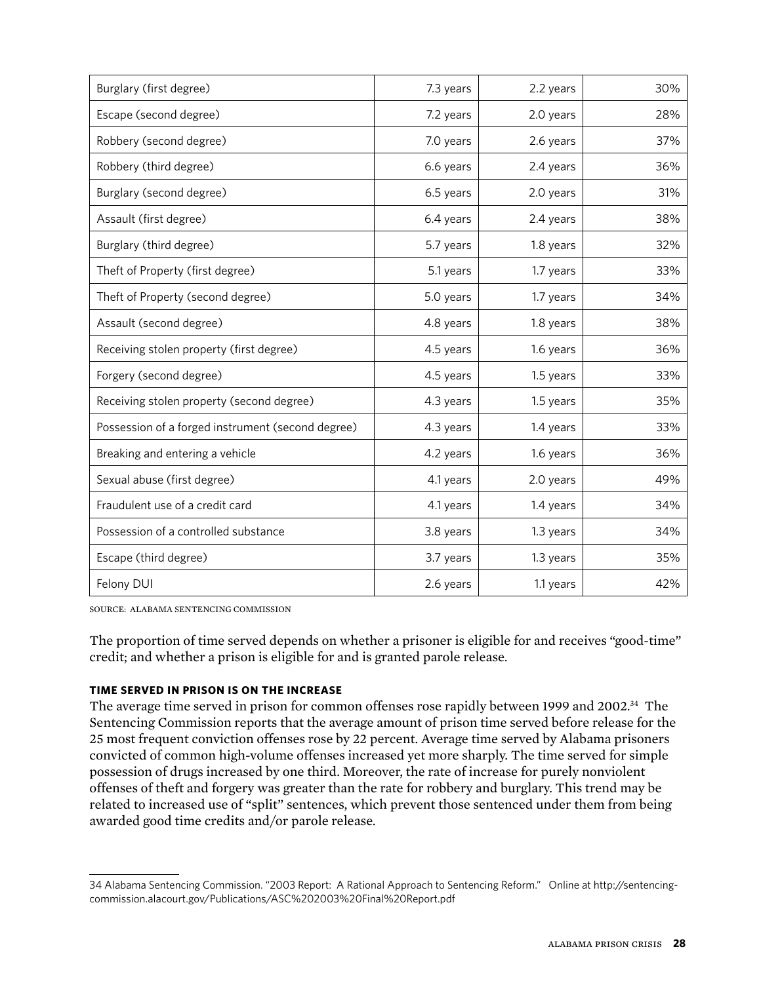| Burglary (first degree)                           | 7.3 years | 2.2 years | 30% |
|---------------------------------------------------|-----------|-----------|-----|
| Escape (second degree)                            | 7.2 years | 2.0 years | 28% |
| Robbery (second degree)                           | 7.0 years | 2.6 years | 37% |
| Robbery (third degree)                            | 6.6 years | 2.4 years | 36% |
| Burglary (second degree)                          | 6.5 years | 2.0 years | 31% |
| Assault (first degree)                            | 6.4 years | 2.4 years | 38% |
| Burglary (third degree)                           | 5.7 years | 1.8 years | 32% |
| Theft of Property (first degree)                  | 5.1 years | 1.7 years | 33% |
| Theft of Property (second degree)                 | 5.0 years | 1.7 years | 34% |
| Assault (second degree)                           | 4.8 years | 1.8 years | 38% |
| Receiving stolen property (first degree)          | 4.5 years | 1.6 years | 36% |
| Forgery (second degree)                           | 4.5 years | 1.5 years | 33% |
| Receiving stolen property (second degree)         | 4.3 years | 1.5 years | 35% |
| Possession of a forged instrument (second degree) | 4.3 years | 1.4 years | 33% |
| Breaking and entering a vehicle                   | 4.2 years | 1.6 years | 36% |
| Sexual abuse (first degree)                       | 4.1 years | 2.0 years | 49% |
| Fraudulent use of a credit card                   | 4.1 years | 1.4 years | 34% |
| Possession of a controlled substance              | 3.8 years | 1.3 years | 34% |
| Escape (third degree)                             | 3.7 years | 1.3 years | 35% |
| Felony DUI                                        | 2.6 years | 1.1 years | 42% |

SOURCE: Alabama Sentencing Commission

The proportion of time served depends on whether a prisoner is eligible for and receives "good-time" credit; and whether a prison is eligible for and is granted parole release.

#### **Time Served in Prison is on the Increase**

The average time served in prison for common offenses rose rapidly between 1999 and 2002.<sup>34</sup> The Sentencing Commission reports that the average amount of prison time served before release for the 25 most frequent conviction offenses rose by 22 percent. Average time served by Alabama prisoners convicted of common high-volume offenses increased yet more sharply. The time served for simple possession of drugs increased by one third. Moreover, the rate of increase for purely nonviolent offenses of theft and forgery was greater than the rate for robbery and burglary. This trend may be related to increased use of "split" sentences, which prevent those sentenced under them from being awarded good time credits and/or parole release.

<sup>34</sup> Alabama Sentencing Commission. "2003 Report: A Rational Approach to Sentencing Reform." Online at http://sentencingcommission.alacourt.gov/Publications/ASC%202003%20Final%20Report.pdf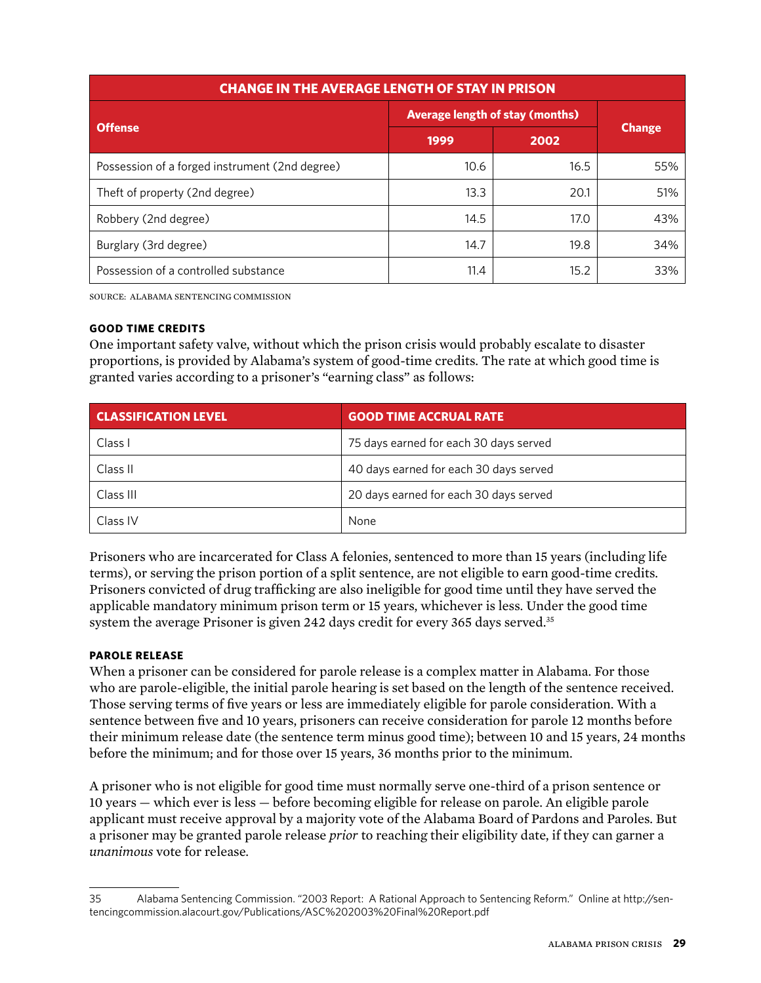| <b>CHANGE IN THE AVERAGE LENGTH OF STAY IN PRISON</b> |                                        |      |               |  |
|-------------------------------------------------------|----------------------------------------|------|---------------|--|
|                                                       | <b>Average length of stay (months)</b> |      |               |  |
| <b>Offense</b>                                        | 1999                                   | 2002 | <b>Change</b> |  |
| Possession of a forged instrument (2nd degree)        | 10.6                                   | 16.5 | 55%           |  |
| Theft of property (2nd degree)                        | 13.3                                   | 20.1 | 51%           |  |
| Robbery (2nd degree)                                  | 14.5                                   | 17.0 | 43%           |  |
| Burglary (3rd degree)                                 | 14.7                                   | 19.8 | 34%           |  |
| Possession of a controlled substance                  | 11.4                                   | 15.2 | 33%           |  |

SOURCE: Alabama Sentencing Commission

#### **Good Time Credits**

One important safety valve, without which the prison crisis would probably escalate to disaster proportions, is provided by Alabama's system of good-time credits. The rate at which good time is granted varies according to a prisoner's "earning class" as follows:

| <b>CLASSIFICATION LEVEL</b> | <b>GOOD TIME ACCRUAL RATE</b>          |
|-----------------------------|----------------------------------------|
| Class I                     | 75 days earned for each 30 days served |
| Class II                    | 40 days earned for each 30 days served |
| Class III                   | 20 days earned for each 30 days served |
| Class IV                    | None                                   |

Prisoners who are incarcerated for Class A felonies, sentenced to more than 15 years (including life terms), or serving the prison portion of a split sentence, are not eligible to earn good-time credits. Prisoners convicted of drug trafficking are also ineligible for good time until they have served the applicable mandatory minimum prison term or 15 years, whichever is less. Under the good time system the average Prisoner is given 242 days credit for every 365 days served.<sup>35</sup>

#### **Parole Release**

When a prisoner can be considered for parole release is a complex matter in Alabama. For those who are parole-eligible, the initial parole hearing is set based on the length of the sentence received. Those serving terms of five years or less are immediately eligible for parole consideration. With a sentence between five and 10 years, prisoners can receive consideration for parole 12 months before their minimum release date (the sentence term minus good time); between 10 and 15 years, 24 months before the minimum; and for those over 15 years, 36 months prior to the minimum.

A prisoner who is not eligible for good time must normally serve one-third of a prison sentence or 10 years — which ever is less — before becoming eligible for release on parole. An eligible parole applicant must receive approval by a majority vote of the Alabama Board of Pardons and Paroles. But a prisoner may be granted parole release *prior* to reaching their eligibility date, if they can garner a *unanimous* vote for release.

<sup>35</sup> Alabama Sentencing Commission. "2003 Report: A Rational Approach to Sentencing Reform." Online at http://sentencingcommission.alacourt.gov/Publications/ASC%202003%20Final%20Report.pdf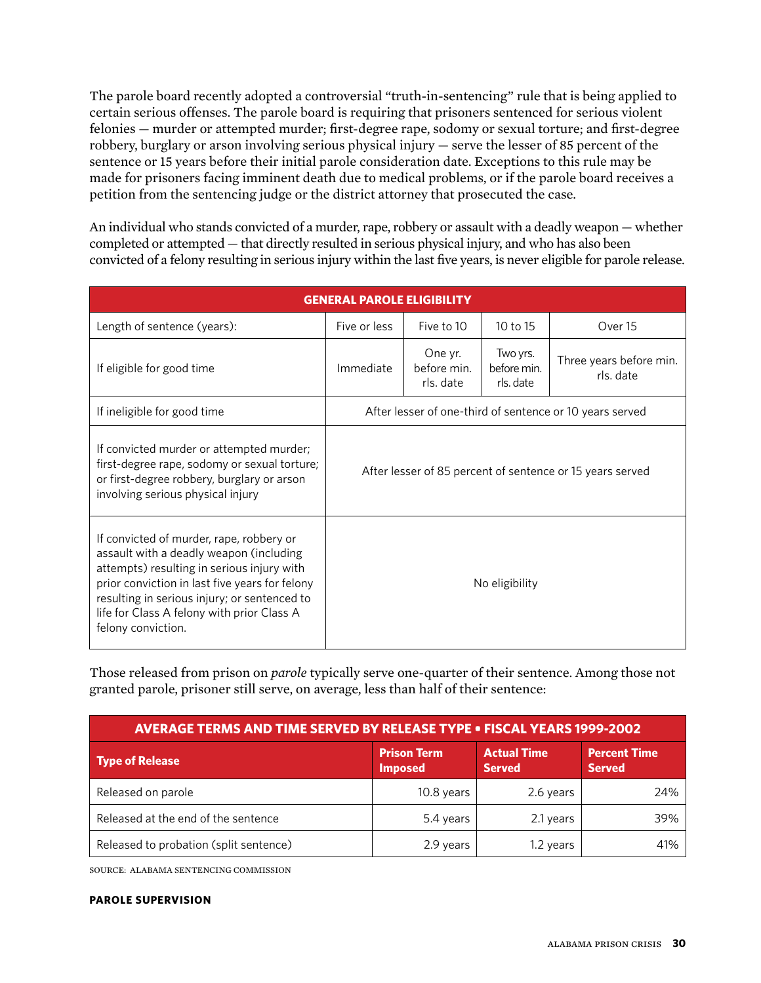The parole board recently adopted a controversial "truth-in-sentencing" rule that is being applied to certain serious offenses. The parole board is requiring that prisoners sentenced for serious violent felonies — murder or attempted murder; first-degree rape, sodomy or sexual torture; and first-degree robbery, burglary or arson involving serious physical injury — serve the lesser of 85 percent of the sentence or 15 years before their initial parole consideration date. Exceptions to this rule may be made for prisoners facing imminent death due to medical problems, or if the parole board receives a petition from the sentencing judge or the district attorney that prosecuted the case.

An individual who stands convicted of a murder, rape, robbery or assault with a deadly weapon — whether completed or attempted — that directly resulted in serious physical injury, and who has also been convicted of a felony resulting in serious injury within the last five years, is never eligible for parole release.

| <b>GENERAL PAROLE ELIGIBILITY</b>                                                                                                                                                                                                                                                                       |                                                           |                                     |                                      |                                      |  |  |
|---------------------------------------------------------------------------------------------------------------------------------------------------------------------------------------------------------------------------------------------------------------------------------------------------------|-----------------------------------------------------------|-------------------------------------|--------------------------------------|--------------------------------------|--|--|
| Length of sentence (years):                                                                                                                                                                                                                                                                             | Five or less                                              | Five to 10                          | 10 to 15                             | Over 15                              |  |  |
| If eligible for good time                                                                                                                                                                                                                                                                               | Immediate                                                 | One yr.<br>before min.<br>rls. date | Two yrs.<br>before min.<br>rls. date | Three years before min.<br>rls. date |  |  |
| If ineligible for good time                                                                                                                                                                                                                                                                             | After lesser of one-third of sentence or 10 years served  |                                     |                                      |                                      |  |  |
| If convicted murder or attempted murder;<br>first-degree rape, sodomy or sexual torture;<br>or first-degree robbery, burglary or arson<br>involving serious physical injury                                                                                                                             | After lesser of 85 percent of sentence or 15 years served |                                     |                                      |                                      |  |  |
| If convicted of murder, rape, robbery or<br>assault with a deadly weapon (including<br>attempts) resulting in serious injury with<br>prior conviction in last five years for felony<br>resulting in serious injury; or sentenced to<br>life for Class A felony with prior Class A<br>felony conviction. | No eligibility                                            |                                     |                                      |                                      |  |  |

Those released from prison on *parole* typically serve one-quarter of their sentence. Among those not granted parole, prisoner still serve, on average, less than half of their sentence:

| <b>AVERAGE TERMS AND TIME SERVED BY RELEASE TYPE . FISCAL YEARS 1999-2002</b> |                                                                             |           |                                      |  |  |  |
|-------------------------------------------------------------------------------|-----------------------------------------------------------------------------|-----------|--------------------------------------|--|--|--|
| <b>Type of Release</b>                                                        | <b>Prison Term</b><br><b>Actual Time</b><br><b>Imposed</b><br><b>Served</b> |           | <b>Percent Time</b><br><b>Served</b> |  |  |  |
| Released on parole                                                            | 10.8 years                                                                  | 2.6 years | 24%                                  |  |  |  |
| Released at the end of the sentence                                           | 5.4 years                                                                   | 2.1 years | 39%                                  |  |  |  |
| Released to probation (split sentence)                                        | 2.9 years                                                                   | 1.2 years | 41%                                  |  |  |  |

SOURCE: Alabama Sentencing Commission

#### **PAROLE SUPERVISION**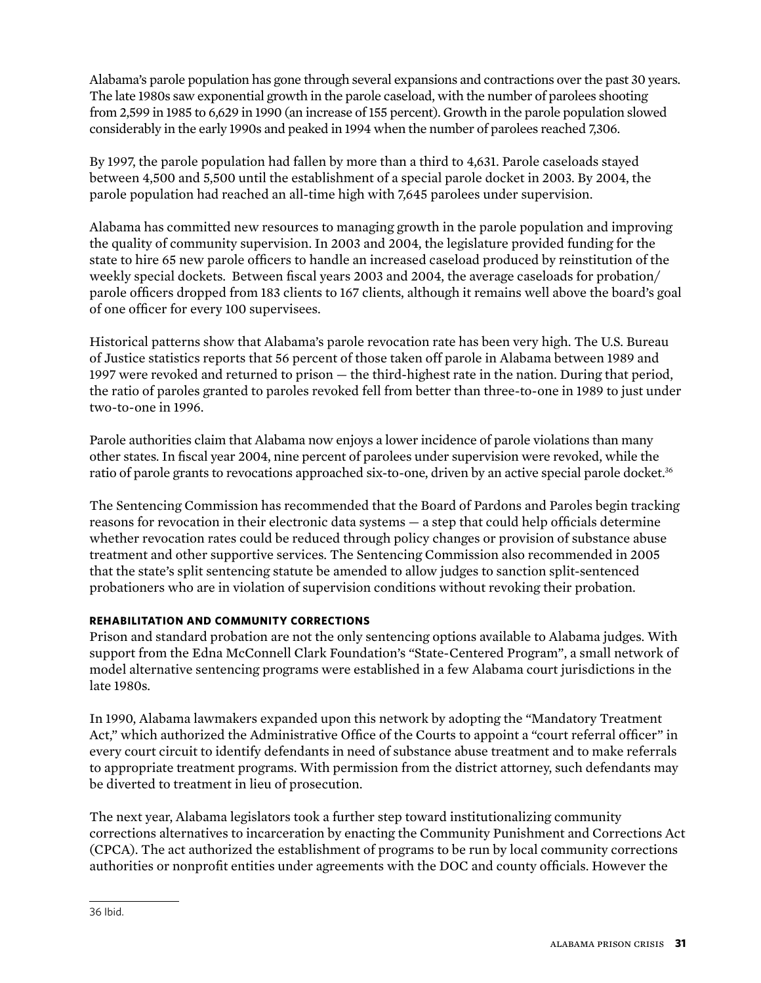Alabama's parole population has gone through several expansions and contractions over the past 30 years. The late 1980s saw exponential growth in the parole caseload, with the number of parolees shooting from 2,599 in 1985 to 6,629 in 1990 (an increase of 155 percent). Growth in the parole population slowed considerably in the early 1990s and peaked in 1994 when the number of parolees reached 7,306.

By 1997, the parole population had fallen by more than a third to 4,631. Parole caseloads stayed between 4,500 and 5,500 until the establishment of a special parole docket in 2003. By 2004, the parole population had reached an all-time high with 7,645 parolees under supervision.

Alabama has committed new resources to managing growth in the parole population and improving the quality of community supervision. In 2003 and 2004, the legislature provided funding for the state to hire 65 new parole officers to handle an increased caseload produced by reinstitution of the weekly special dockets. Between fiscal years 2003 and 2004, the average caseloads for probation/ parole officers dropped from 183 clients to 167 clients, although it remains well above the board's goal of one officer for every 100 supervisees.

Historical patterns show that Alabama's parole revocation rate has been very high. The U.S. Bureau of Justice statistics reports that 56 percent of those taken off parole in Alabama between 1989 and 1997 were revoked and returned to prison — the third-highest rate in the nation. During that period, the ratio of paroles granted to paroles revoked fell from better than three-to-one in 1989 to just under two-to-one in 1996.

Parole authorities claim that Alabama now enjoys a lower incidence of parole violations than many other states. In fiscal year 2004, nine percent of parolees under supervision were revoked, while the ratio of parole grants to revocations approached six-to-one, driven by an active special parole docket.<sup>36</sup>

The Sentencing Commission has recommended that the Board of Pardons and Paroles begin tracking reasons for revocation in their electronic data systems — a step that could help officials determine whether revocation rates could be reduced through policy changes or provision of substance abuse treatment and other supportive services. The Sentencing Commission also recommended in 2005 that the state's split sentencing statute be amended to allow judges to sanction split-sentenced probationers who are in violation of supervision conditions without revoking their probation.

### **REHABILITATION AND COMMUNITY CORRECTIONS**

Prison and standard probation are not the only sentencing options available to Alabama judges. With support from the Edna McConnell Clark Foundation's "State-Centered Program", a small network of model alternative sentencing programs were established in a few Alabama court jurisdictions in the late 1980s.

In 1990, Alabama lawmakers expanded upon this network by adopting the "Mandatory Treatment Act," which authorized the Administrative Office of the Courts to appoint a "court referral officer" in every court circuit to identify defendants in need of substance abuse treatment and to make referrals to appropriate treatment programs. With permission from the district attorney, such defendants may be diverted to treatment in lieu of prosecution.

The next year, Alabama legislators took a further step toward institutionalizing community corrections alternatives to incarceration by enacting the Community Punishment and Corrections Act (CPCA). The act authorized the establishment of programs to be run by local community corrections authorities or nonprofit entities under agreements with the DOC and county officials. However the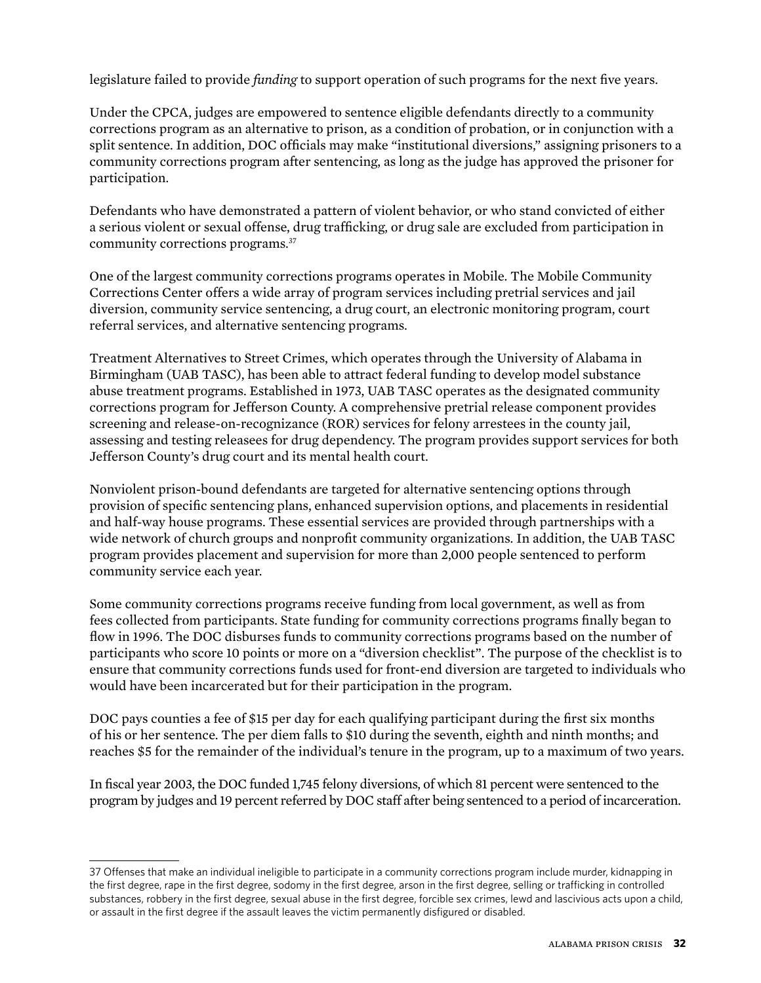legislature failed to provide *funding* to support operation of such programs for the next five years.

Under the CPCA, judges are empowered to sentence eligible defendants directly to a community corrections program as an alternative to prison, as a condition of probation, or in conjunction with a split sentence. In addition, DOC officials may make "institutional diversions," assigning prisoners to a community corrections program after sentencing, as long as the judge has approved the prisoner for participation.

Defendants who have demonstrated a pattern of violent behavior, or who stand convicted of either a serious violent or sexual offense, drug trafficking, or drug sale are excluded from participation in community corrections programs.37

One of the largest community corrections programs operates in Mobile. The Mobile Community Corrections Center offers a wide array of program services including pretrial services and jail diversion, community service sentencing, a drug court, an electronic monitoring program, court referral services, and alternative sentencing programs.

Treatment Alternatives to Street Crimes, which operates through the University of Alabama in Birmingham (UAB TASC), has been able to attract federal funding to develop model substance abuse treatment programs. Established in 1973, UAB TASC operates as the designated community corrections program for Jefferson County. A comprehensive pretrial release component provides screening and release-on-recognizance (ROR) services for felony arrestees in the county jail, assessing and testing releasees for drug dependency. The program provides support services for both Jefferson County's drug court and its mental health court.

Nonviolent prison-bound defendants are targeted for alternative sentencing options through provision of specific sentencing plans, enhanced supervision options, and placements in residential and half-way house programs. These essential services are provided through partnerships with a wide network of church groups and nonprofit community organizations. In addition, the UAB TASC program provides placement and supervision for more than 2,000 people sentenced to perform community service each year.

Some community corrections programs receive funding from local government, as well as from fees collected from participants. State funding for community corrections programs finally began to flow in 1996. The DOC disburses funds to community corrections programs based on the number of participants who score 10 points or more on a "diversion checklist". The purpose of the checklist is to ensure that community corrections funds used for front-end diversion are targeted to individuals who would have been incarcerated but for their participation in the program.

DOC pays counties a fee of \$15 per day for each qualifying participant during the first six months of his or her sentence. The per diem falls to \$10 during the seventh, eighth and ninth months; and reaches \$5 for the remainder of the individual's tenure in the program, up to a maximum of two years.

In fiscal year 2003, the DOC funded 1,745 felony diversions, of which 81 percent were sentenced to the program by judges and 19 percent referred by DOC staff after being sentenced to a period of incarceration.

<sup>37</sup> Offenses that make an individual ineligible to participate in a community corrections program include murder, kidnapping in the first degree, rape in the first degree, sodomy in the first degree, arson in the first degree, selling or trafficking in controlled substances, robbery in the first degree, sexual abuse in the first degree, forcible sex crimes, lewd and lascivious acts upon a child, or assault in the first degree if the assault leaves the victim permanently disfigured or disabled.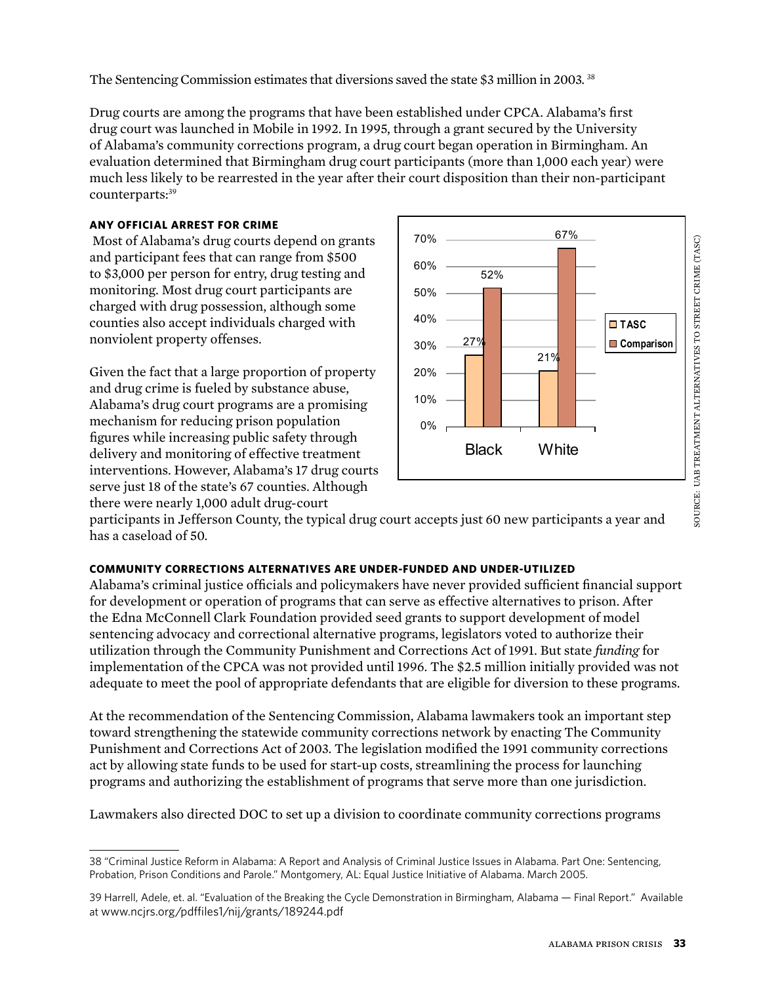The Sentencing Commission estimates that diversions saved the state \$3 million in 2003. 38

Drug courts are among the programs that have been established under CPCA. Alabama's first drug court was launched in Mobile in 1992. In 1995, through a grant secured by the University of Alabama's community corrections program, a drug court began operation in Birmingham. An evaluation determined that Birmingham drug court participants (more than 1,000 each year) were much less likely to be rearrested in the year after their court disposition than their non-participant counterparts:<sup>39</sup>

### **Any official arrest for crime**

 Most of Alabama's drug courts depend on grants and participant fees that can range from \$500 to \$3,000 per person for entry, drug testing and monitoring. Most drug court participants are charged with drug possession, although some counties also accept individuals charged with nonviolent property offenses.

Given the fact that a large proportion of property and drug crime is fueled by substance abuse, Alabama's drug court programs are a promising mechanism for reducing prison population figures while increasing public safety through delivery and monitoring of effective treatment interventions. However, Alabama's 17 drug courts serve just 18 of the state's 67 counties. Although there were nearly 1,000 adult drug-court



participants in Jefferson County, the typical drug court accepts just 60 new participants a year and has a caseload of 50.

### **Community corrections alternatives are under-funded and under-utilized**

Alabama's criminal justice officials and policymakers have never provided sufficient financial support for development or operation of programs that can serve as effective alternatives to prison. After the Edna McConnell Clark Foundation provided seed grants to support development of model sentencing advocacy and correctional alternative programs, legislators voted to authorize their utilization through the Community Punishment and Corrections Act of 1991. But state *funding* for implementation of the CPCA was not provided until 1996. The \$2.5 million initially provided was not adequate to meet the pool of appropriate defendants that are eligible for diversion to these programs.

At the recommendation of the Sentencing Commission, Alabama lawmakers took an important step toward strengthening the statewide community corrections network by enacting The Community Punishment and Corrections Act of 2003. The legislation modified the 1991 community corrections act by allowing state funds to be used for start-up costs, streamlining the process for launching programs and authorizing the establishment of programs that serve more than one jurisdiction.

Lawmakers also directed DOC to set up a division to coordinate community corrections programs

<sup>38 &</sup>quot;Criminal Justice Reform in Alabama: A Report and Analysis of Criminal Justice Issues in Alabama. Part One: Sentencing, Probation, Prison Conditions and Parole." Montgomery, AL: Equal Justice Initiative of Alabama. March 2005.

<sup>39</sup> Harrell, Adele, et. al. "Evaluation of the Breaking the Cycle Demonstration in Birmingham, Alabama — Final Report." Available at www.ncjrs.org/pdffiles1/nij/grants/189244.pdf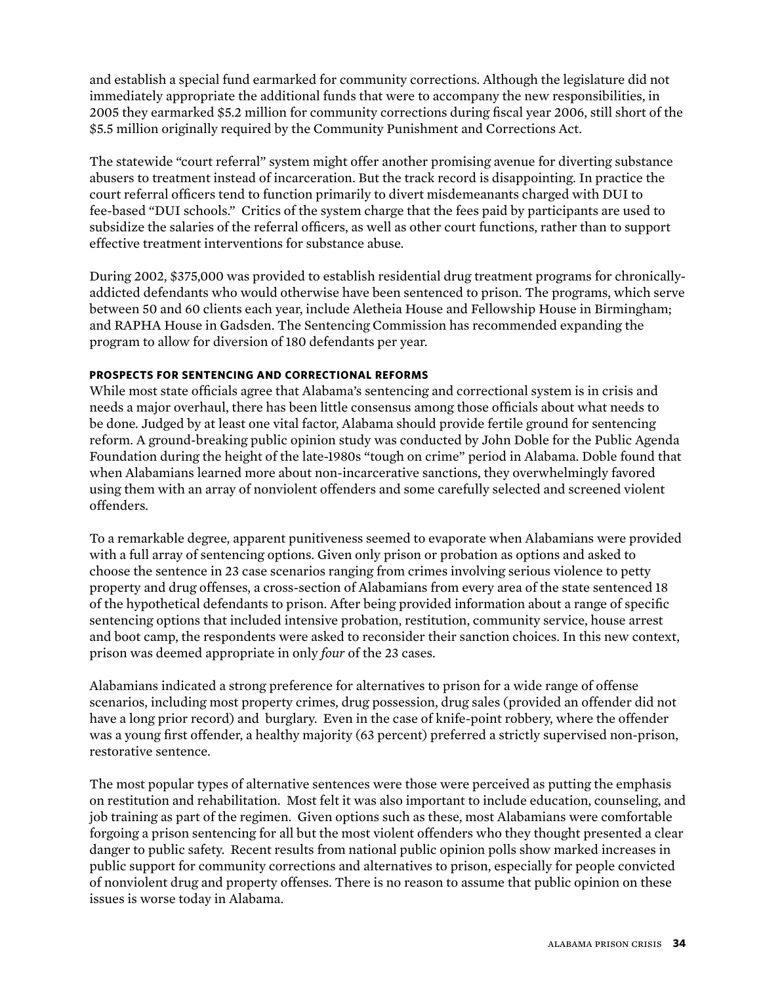and establish a special fund earmarked for community corrections. Although the legislature did not immediately appropriate the additional funds that were to accompany the new responsibilities, in 2005 they earmarked \$5.2 million for community corrections during fiscal year 2006, still short of the \$5.5 million originally required by the Community Punishment and Corrections Act.

The statewide "court referral" system might offer another promising avenue for diverting substance abusers to treatment instead of incarceration. But the track record is disappointing. In practice the court referral officers tend to function primarily to divert misdemeanants charged with DUI to fee-based "DUI schools." Critics of the system charge that the fees paid by participants are used to subsidize the salaries of the referral officers, as well as other court functions, rather than to support effective treatment interventions for substance abuse.

During 2002, \$375,000 was provided to establish residential drug treatment programs for chronicallyaddicted defendants who would otherwise have been sentenced to prison. The programs, which serve between 50 and 60 clients each year, include Aletheia House and Fellowship House in Birmingham; and RAPHA House in Gadsden. The Sentencing Commission has recommended expanding the program to allow for diversion of 180 defendants per year.

#### **PROSPECTS FOR SENTENCING AND CORRECTIONAL REFORMS**

While most state officials agree that Alabama's sentencing and correctional system is in crisis and needs a major overhaul, there has been little consensus among those officials about what needs to be done. Judged by at least one vital factor, Alabama should provide fertile ground for sentencing reform. A ground-breaking public opinion study was conducted by John Doble for the Public Agenda Foundation during the height of the late-1980s "tough on crime" period in Alabama. Doble found that when Alabamians learned more about non-incarcerative sanctions, they overwhelmingly favored using them with an array of nonviolent offenders and some carefully selected and screened violent offenders.

To a remarkable degree, apparent punitiveness seemed to evaporate when Alabamians were provided with a full array of sentencing options. Given only prison or probation as options and asked to choose the sentence in 23 case scenarios ranging from crimes involving serious violence to petty property and drug offenses, a cross-section of Alabamians from every area of the state sentenced 18 of the hypothetical defendants to prison. After being provided information about a range of specific sentencing options that included intensive probation, restitution, community service, house arrest and boot camp, the respondents were asked to reconsider their sanction choices. In this new context, prison was deemed appropriate in only *four* of the 23 cases.

Alabamians indicated a strong preference for alternatives to prison for a wide range of offense scenarios, including most property crimes, drug possession, drug sales (provided an offender did not have a long prior record) and burglary. Even in the case of knife-point robbery, where the offender was a young first offender, a healthy majority (63 percent) preferred a strictly supervised non-prison, restorative sentence.

The most popular types of alternative sentences were those were perceived as putting the emphasis on restitution and rehabilitation. Most felt it was also important to include education, counseling, and job training as part of the regimen. Given options such as these, most Alabamians were comfortable forgoing a prison sentencing for all but the most violent offenders who they thought presented a clear danger to public safety. Recent results from national public opinion polls show marked increases in public support for community corrections and alternatives to prison, especially for people convicted of nonviolent drug and property offenses. There is no reason to assume that public opinion on these issues is worse today in Alabama.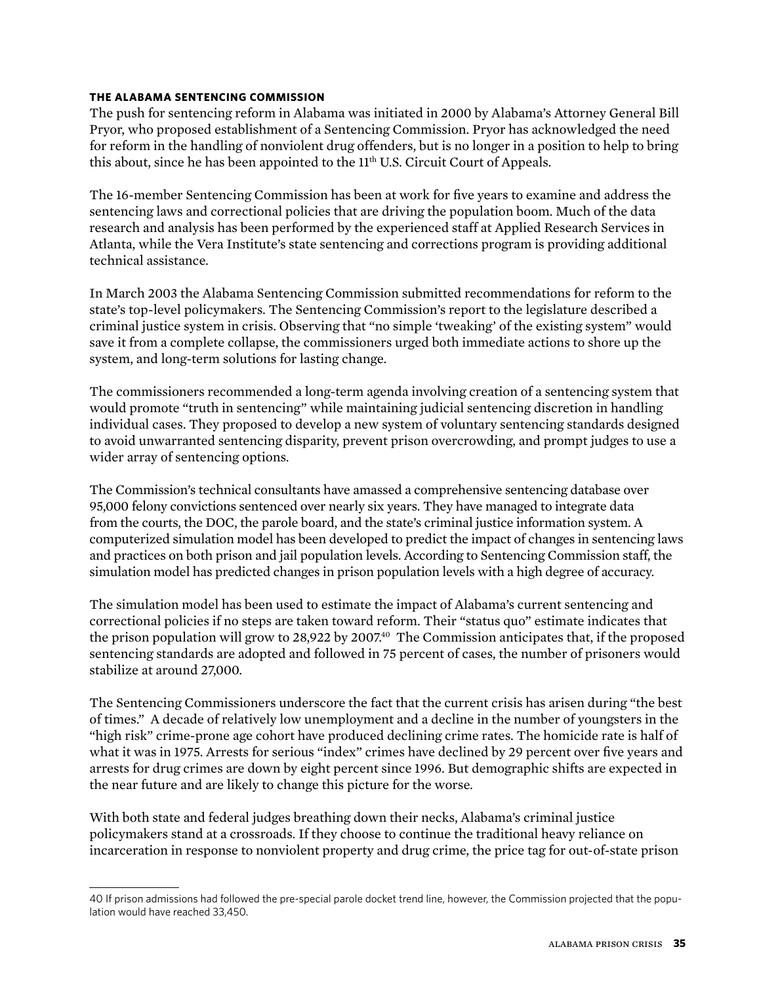#### **The Alabama Sentencing Commission**

The push for sentencing reform in Alabama was initiated in 2000 by Alabama's Attorney General Bill Pryor, who proposed establishment of a Sentencing Commission. Pryor has acknowledged the need for reform in the handling of nonviolent drug offenders, but is no longer in a position to help to bring this about, since he has been appointed to the  $11<sup>th</sup>$  U.S. Circuit Court of Appeals.

The 16-member Sentencing Commission has been at work for five years to examine and address the sentencing laws and correctional policies that are driving the population boom. Much of the data research and analysis has been performed by the experienced staff at Applied Research Services in Atlanta, while the Vera Institute's state sentencing and corrections program is providing additional technical assistance.

In March 2003 the Alabama Sentencing Commission submitted recommendations for reform to the state's top-level policymakers. The Sentencing Commission's report to the legislature described a criminal justice system in crisis. Observing that "no simple 'tweaking' of the existing system" would save it from a complete collapse, the commissioners urged both immediate actions to shore up the system, and long-term solutions for lasting change.

The commissioners recommended a long-term agenda involving creation of a sentencing system that would promote "truth in sentencing" while maintaining judicial sentencing discretion in handling individual cases. They proposed to develop a new system of voluntary sentencing standards designed to avoid unwarranted sentencing disparity, prevent prison overcrowding, and prompt judges to use a wider array of sentencing options.

The Commission's technical consultants have amassed a comprehensive sentencing database over 95,000 felony convictions sentenced over nearly six years. They have managed to integrate data from the courts, the DOC, the parole board, and the state's criminal justice information system. A computerized simulation model has been developed to predict the impact of changes in sentencing laws and practices on both prison and jail population levels. According to Sentencing Commission staff, the simulation model has predicted changes in prison population levels with a high degree of accuracy.

The simulation model has been used to estimate the impact of Alabama's current sentencing and correctional policies if no steps are taken toward reform. Their "status quo" estimate indicates that the prison population will grow to 28,922 by 2007.<sup>40</sup> The Commission anticipates that, if the proposed sentencing standards are adopted and followed in 75 percent of cases, the number of prisoners would stabilize at around 27,000.

The Sentencing Commissioners underscore the fact that the current crisis has arisen during "the best of times." A decade of relatively low unemployment and a decline in the number of youngsters in the "high risk" crime-prone age cohort have produced declining crime rates. The homicide rate is half of what it was in 1975. Arrests for serious "index" crimes have declined by 29 percent over five years and arrests for drug crimes are down by eight percent since 1996. But demographic shifts are expected in the near future and are likely to change this picture for the worse.

With both state and federal judges breathing down their necks, Alabama's criminal justice policymakers stand at a crossroads. If they choose to continue the traditional heavy reliance on incarceration in response to nonviolent property and drug crime, the price tag for out-of-state prison

<sup>40</sup> If prison admissions had followed the pre-special parole docket trend line, however, the Commission projected that the population would have reached 33,450.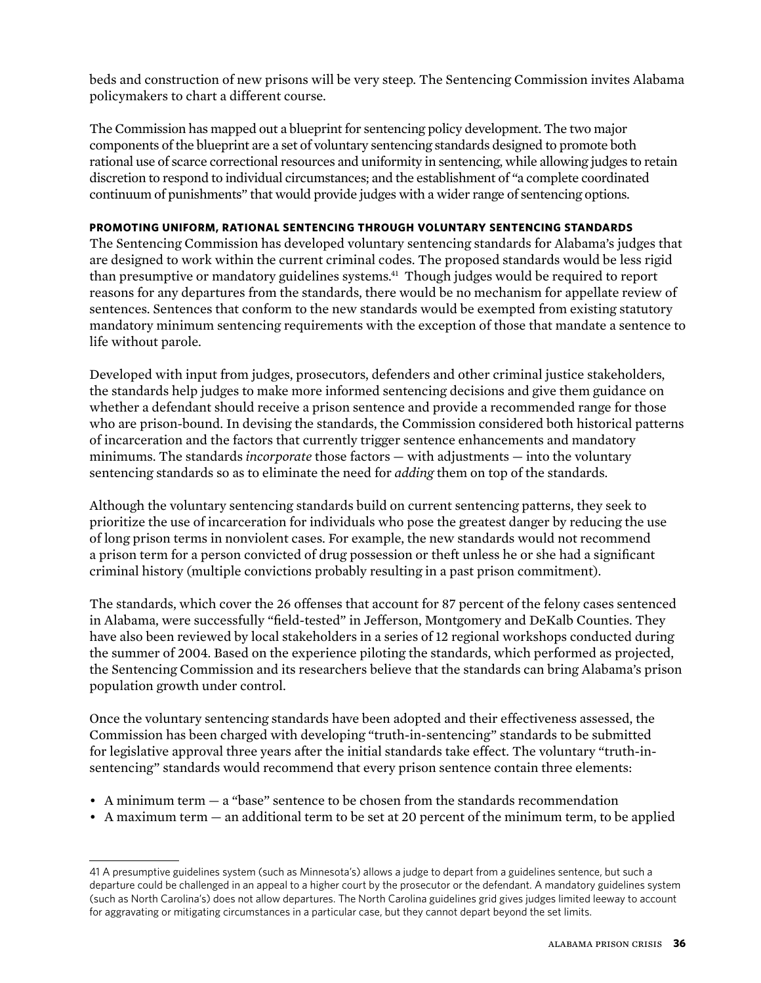beds and construction of new prisons will be very steep. The Sentencing Commission invites Alabama policymakers to chart a different course.

The Commission has mapped out a blueprint for sentencing policy development. The two major components of the blueprint are a set of voluntary sentencing standards designed to promote both rational use of scarce correctional resources and uniformity in sentencing, while allowing judges to retain discretion to respond to individual circumstances; and the establishment of "a complete coordinated continuum of punishments" that would provide judges with a wider range of sentencing options.

#### **Promoting uniform, rational sentencing through voluntary sentencing standards**

The Sentencing Commission has developed voluntary sentencing standards for Alabama's judges that are designed to work within the current criminal codes. The proposed standards would be less rigid than presumptive or mandatory guidelines systems.<sup>41</sup> Though judges would be required to report reasons for any departures from the standards, there would be no mechanism for appellate review of sentences. Sentences that conform to the new standards would be exempted from existing statutory mandatory minimum sentencing requirements with the exception of those that mandate a sentence to life without parole.

Developed with input from judges, prosecutors, defenders and other criminal justice stakeholders, the standards help judges to make more informed sentencing decisions and give them guidance on whether a defendant should receive a prison sentence and provide a recommended range for those who are prison-bound. In devising the standards, the Commission considered both historical patterns of incarceration and the factors that currently trigger sentence enhancements and mandatory minimums. The standards *incorporate* those factors — with adjustments — into the voluntary sentencing standards so as to eliminate the need for *adding* them on top of the standards.

Although the voluntary sentencing standards build on current sentencing patterns, they seek to prioritize the use of incarceration for individuals who pose the greatest danger by reducing the use of long prison terms in nonviolent cases. For example, the new standards would not recommend a prison term for a person convicted of drug possession or theft unless he or she had a significant criminal history (multiple convictions probably resulting in a past prison commitment).

The standards, which cover the 26 offenses that account for 87 percent of the felony cases sentenced in Alabama, were successfully "field-tested" in Jefferson, Montgomery and DeKalb Counties. They have also been reviewed by local stakeholders in a series of 12 regional workshops conducted during the summer of 2004. Based on the experience piloting the standards, which performed as projected, the Sentencing Commission and its researchers believe that the standards can bring Alabama's prison population growth under control.

Once the voluntary sentencing standards have been adopted and their effectiveness assessed, the Commission has been charged with developing "truth-in-sentencing" standards to be submitted for legislative approval three years after the initial standards take effect. The voluntary "truth-insentencing" standards would recommend that every prison sentence contain three elements:

- A minimum term a "base" sentence to be chosen from the standards recommendation
- A maximum term an additional term to be set at 20 percent of the minimum term, to be applied

<sup>41</sup> A presumptive guidelines system (such as Minnesota's) allows a judge to depart from a guidelines sentence, but such a departure could be challenged in an appeal to a higher court by the prosecutor or the defendant. A mandatory guidelines system (such as North Carolina's) does not allow departures. The North Carolina guidelines grid gives judges limited leeway to account for aggravating or mitigating circumstances in a particular case, but they cannot depart beyond the set limits.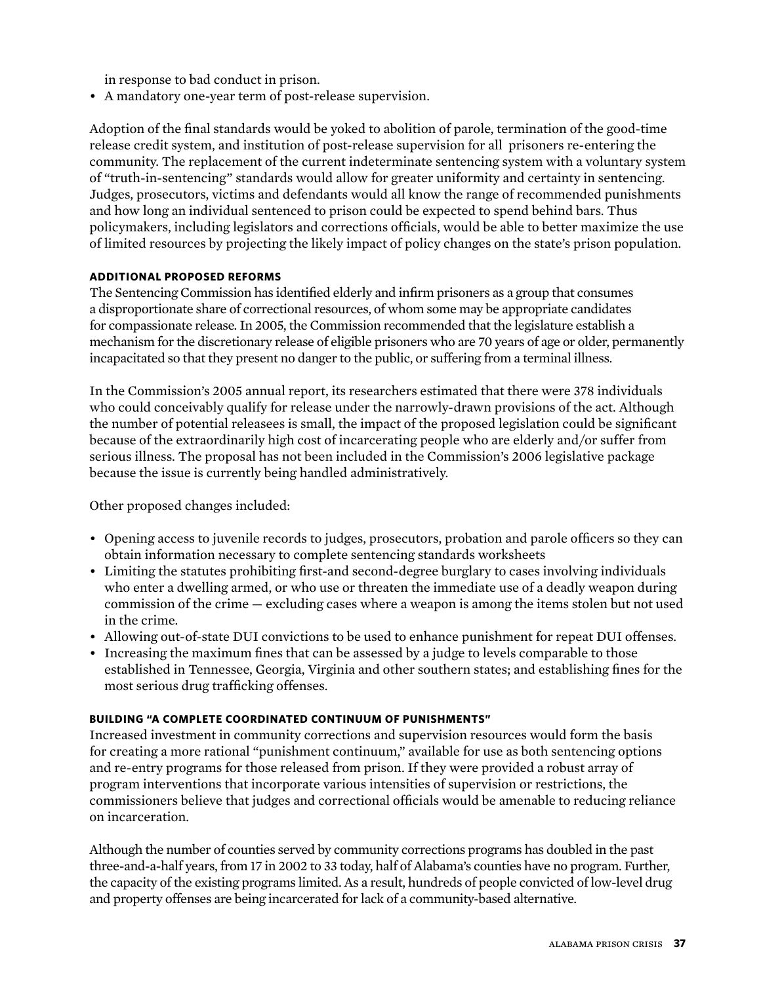in response to bad conduct in prison.

• A mandatory one-year term of post-release supervision.

Adoption of the final standards would be yoked to abolition of parole, termination of the good-time release credit system, and institution of post-release supervision for all prisoners re-entering the community. The replacement of the current indeterminate sentencing system with a voluntary system of "truth-in-sentencing" standards would allow for greater uniformity and certainty in sentencing. Judges, prosecutors, victims and defendants would all know the range of recommended punishments and how long an individual sentenced to prison could be expected to spend behind bars. Thus policymakers, including legislators and corrections officials, would be able to better maximize the use of limited resources by projecting the likely impact of policy changes on the state's prison population.

#### **Additional proposed reforms**

The Sentencing Commission has identified elderly and infirm prisoners as a group that consumes a disproportionate share of correctional resources, of whom some may be appropriate candidates for compassionate release. In 2005, the Commission recommended that the legislature establish a mechanism for the discretionary release of eligible prisoners who are 70 years of age or older, permanently incapacitated so that they present no danger to the public, or suffering from a terminal illness.

In the Commission's 2005 annual report, its researchers estimated that there were 378 individuals who could conceivably qualify for release under the narrowly-drawn provisions of the act. Although the number of potential releasees is small, the impact of the proposed legislation could be significant because of the extraordinarily high cost of incarcerating people who are elderly and/or suffer from serious illness. The proposal has not been included in the Commission's 2006 legislative package because the issue is currently being handled administratively.

Other proposed changes included:

- Opening access to juvenile records to judges, prosecutors, probation and parole officers so they can obtain information necessary to complete sentencing standards worksheets
- Limiting the statutes prohibiting first-and second-degree burglary to cases involving individuals who enter a dwelling armed, or who use or threaten the immediate use of a deadly weapon during commission of the crime — excluding cases where a weapon is among the items stolen but not used in the crime.
- Allowing out-of-state DUI convictions to be used to enhance punishment for repeat DUI offenses.
- Increasing the maximum fines that can be assessed by a judge to levels comparable to those established in Tennessee, Georgia, Virginia and other southern states; and establishing fines for the most serious drug trafficking offenses.

#### **Building "a complete coordinated continuum of punishments"**

Increased investment in community corrections and supervision resources would form the basis for creating a more rational "punishment continuum," available for use as both sentencing options and re-entry programs for those released from prison. If they were provided a robust array of program interventions that incorporate various intensities of supervision or restrictions, the commissioners believe that judges and correctional officials would be amenable to reducing reliance on incarceration.

Although the number of counties served by community corrections programs has doubled in the past three-and-a-half years, from 17 in 2002 to 33 today, half of Alabama's counties have no program. Further, the capacity of the existing programs limited. As a result, hundreds of people convicted of low-level drug and property offenses are being incarcerated for lack of a community-based alternative.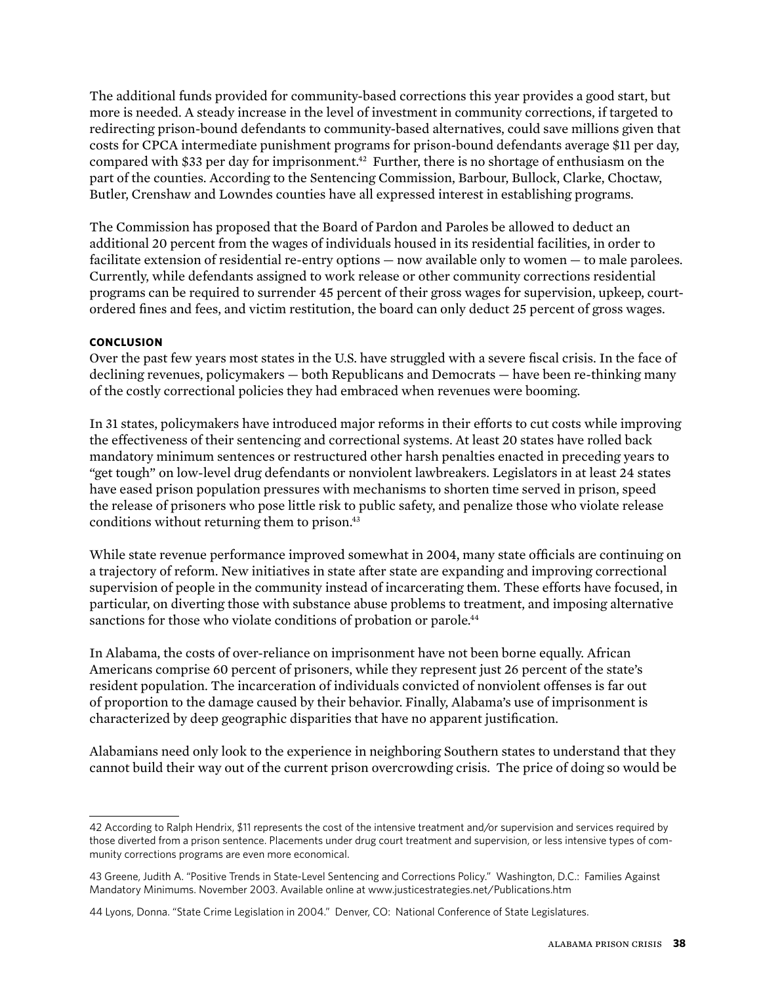The additional funds provided for community-based corrections this year provides a good start, but more is needed. A steady increase in the level of investment in community corrections, if targeted to redirecting prison-bound defendants to community-based alternatives, could save millions given that costs for CPCA intermediate punishment programs for prison-bound defendants average \$11 per day, compared with \$33 per day for imprisonment.<sup>42</sup> Further, there is no shortage of enthusiasm on the part of the counties. According to the Sentencing Commission, Barbour, Bullock, Clarke, Choctaw, Butler, Crenshaw and Lowndes counties have all expressed interest in establishing programs.

The Commission has proposed that the Board of Pardon and Paroles be allowed to deduct an additional 20 percent from the wages of individuals housed in its residential facilities, in order to facilitate extension of residential re-entry options — now available only to women — to male parolees. Currently, while defendants assigned to work release or other community corrections residential programs can be required to surrender 45 percent of their gross wages for supervision, upkeep, courtordered fines and fees, and victim restitution, the board can only deduct 25 percent of gross wages.

#### **CONCLUSION**

Over the past few years most states in the U.S. have struggled with a severe fiscal crisis. In the face of declining revenues, policymakers — both Republicans and Democrats — have been re-thinking many of the costly correctional policies they had embraced when revenues were booming.

In 31 states, policymakers have introduced major reforms in their efforts to cut costs while improving the effectiveness of their sentencing and correctional systems. At least 20 states have rolled back mandatory minimum sentences or restructured other harsh penalties enacted in preceding years to "get tough" on low-level drug defendants or nonviolent lawbreakers. Legislators in at least 24 states have eased prison population pressures with mechanisms to shorten time served in prison, speed the release of prisoners who pose little risk to public safety, and penalize those who violate release conditions without returning them to prison.<sup>43</sup>

While state revenue performance improved somewhat in 2004, many state officials are continuing on a trajectory of reform. New initiatives in state after state are expanding and improving correctional supervision of people in the community instead of incarcerating them. These efforts have focused, in particular, on diverting those with substance abuse problems to treatment, and imposing alternative sanctions for those who violate conditions of probation or parole.<sup>44</sup>

In Alabama, the costs of over-reliance on imprisonment have not been borne equally. African Americans comprise 60 percent of prisoners, while they represent just 26 percent of the state's resident population. The incarceration of individuals convicted of nonviolent offenses is far out of proportion to the damage caused by their behavior. Finally, Alabama's use of imprisonment is characterized by deep geographic disparities that have no apparent justification.

Alabamians need only look to the experience in neighboring Southern states to understand that they cannot build their way out of the current prison overcrowding crisis. The price of doing so would be

<sup>42</sup> According to Ralph Hendrix, \$11 represents the cost of the intensive treatment and/or supervision and services required by those diverted from a prison sentence. Placements under drug court treatment and supervision, or less intensive types of community corrections programs are even more economical.

<sup>43</sup> Greene, Judith A. "Positive Trends in State-Level Sentencing and Corrections Policy." Washington, D.C.: Families Against Mandatory Minimums. November 2003. Available online at www.justicestrategies.net/Publications.htm

<sup>44</sup> Lyons, Donna. "State Crime Legislation in 2004." Denver, CO: National Conference of State Legislatures.